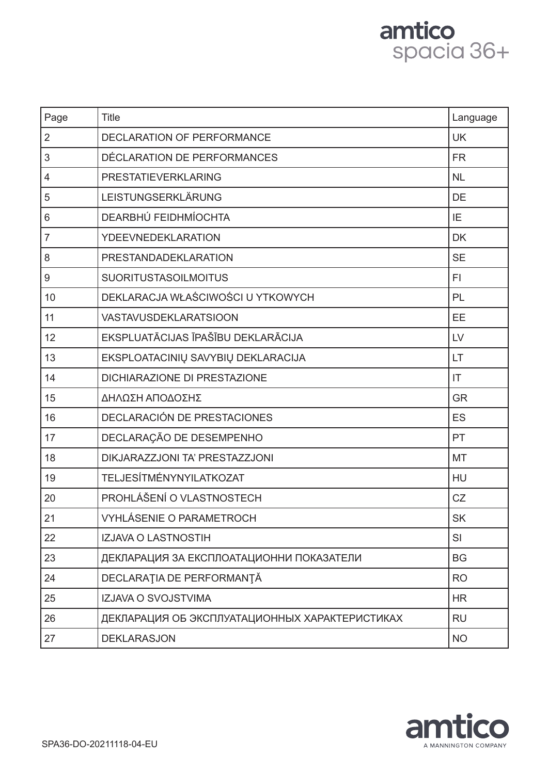# amtico<br>spacia 36+

| Page           | <b>Title</b>                                   | Language  |
|----------------|------------------------------------------------|-----------|
| $\overline{2}$ | DECLARATION OF PERFORMANCE                     | <b>UK</b> |
| 3              | DÉCLARATION DE PERFORMANCES                    | <b>FR</b> |
| $\overline{4}$ | PRESTATIEVERKLARING                            | <b>NL</b> |
| 5              | LEISTUNGSERKLÄRUNG                             | <b>DE</b> |
| 6              | DEARBHÚ FEIDHMÍOCHTA                           | IE        |
| $\overline{7}$ | <b>YDEEVNEDEKLARATION</b>                      | <b>DK</b> |
| 8              | PRESTANDADEKLARATION                           | <b>SE</b> |
| 9              | <b>SUORITUSTASOILMOITUS</b>                    | FI.       |
| 10             | DEKLARACJA WŁAŚCIWOŚCI U YTKOWYCH              | PL        |
| 11             | <b>VASTAVUSDEKLARATSIOON</b>                   | EE        |
| 12             | EKSPLUATĀCIJAS ĪPAŠĪBU DEKLARĀCIJA             | LV        |
| 13             | EKSPLOATACINIŲ SAVYBIŲ DEKLARACIJA             | LT        |
| 14             | <b>DICHIARAZIONE DI PRESTAZIONE</b>            | IT        |
| 15             | ΔΗΛΩΣΗ ΑΠΟΔΟΣΗΣ                                | <b>GR</b> |
| 16             | DECLARACIÓN DE PRESTACIONES                    | ES        |
| 17             | DECLARAÇÃO DE DESEMPENHO                       | PT        |
| 18             | DIKJARAZZJONI TA' PRESTAZZJONI                 | <b>MT</b> |
| 19             | TELJESÍTMÉNYNYILATKOZAT                        | <b>HU</b> |
| 20             | PROHLÁŠENÍ O VLASTNOSTECH                      | CZ        |
| 21             | <b>VYHLÁSENIE O PARAMETROCH</b>                | <b>SK</b> |
| 22             | <b>IZJAVA O LASTNOSTIH</b>                     | SI        |
| 23             | ДЕКЛАРАЦИЯ ЗА ЕКСПЛОАТАЦИОННИ ПОКАЗАТЕЛИ       | <b>BG</b> |
| 24             | DECLARAȚIA DE PERFORMANȚĂ                      | <b>RO</b> |
| 25             | IZJAVA O SVOJSTVIMA                            | <b>HR</b> |
| 26             | ДЕКЛАРАЦИЯ ОБ ЭКСПЛУАТАЦИОННЫХ ХАРАКТЕРИСТИКАХ | <b>RU</b> |
| 27             | <b>DEKLARASJON</b>                             | <b>NO</b> |

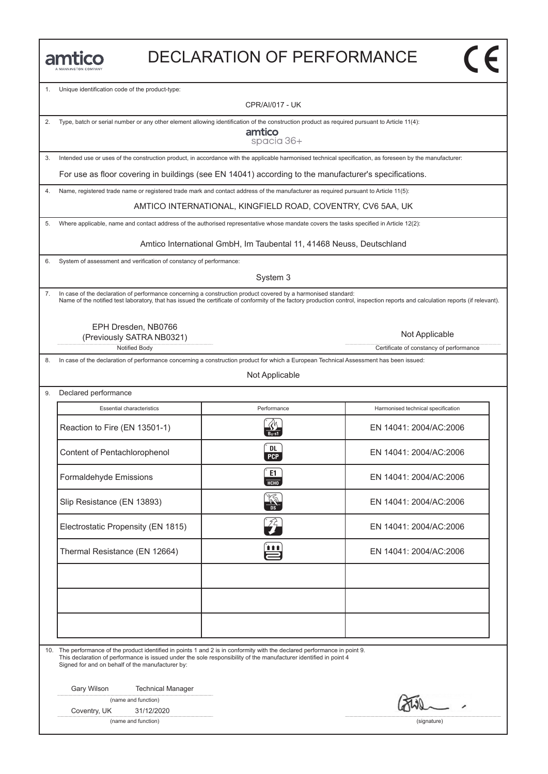| <b>JANNINGTON COMPANY</b> |
|---------------------------|

#### DECLARATION OF PERFORMANCE

1. Unique identification code of the product-type:

CPR/AI/017 - UK

2. Type, batch or serial number or any other element allowing identification of the construction product as required pursuant to Article 11(4):

amtico spacia 36+

3. Intended use or uses of the construction product, in accordance with the applicable harmonised technical specification, as foreseen by the manufacturer:

For use as floor covering in buildings (see EN 14041) according to the manufacturer's specifications.

4. Name, registered trade name or registered trade mark and contact address of the manufacturer as required pursuant to Article 11(5):

AMTICO INTERNATIONAL, KINGFIELD ROAD, COVENTRY, CV6 5AA, UK

5. Where applicable, name and contact address of the authorised representative whose mandate covers the tasks specified in Article 12(2):

Amtico International GmbH, Im Taubental 11, 41468 Neuss, Deutschland

6. System of assessment and verification of constancy of performance:

System 3

7. In case of the declaration of performance concerning a construction product covered by a harmonised standard: Name of the notified test laboratory, that has issued the certificate of conformity of the factory production control, inspection reports and calculation reports (if relevant).

EPH Dresden, NB0766 (Previously SATRA NB0321)

Notified Body **Certificate of constancy of performance** 

8. In case of the declaration of performance concerning a construction product for which a European Technical Assessment has been issued:

Not Applicable

9. Declared performance

| <b>Essential characteristics</b>   | Performance      | Harmonised technical specification |
|------------------------------------|------------------|------------------------------------|
| Reaction to Fire (EN 13501-1)      |                  | EN 14041: 2004/AC:2006             |
| Content of Pentachlorophenol       | DL<br><b>PCP</b> | EN 14041: 2004/AC:2006             |
| Formaldehyde Emissions             | E1<br>HCHO       | EN 14041: 2004/AC:2006             |
| Slip Resistance (EN 13893)         | <b>RE</b>        | EN 14041: 2004/AC:2006             |
| Electrostatic Propensity (EN 1815) | 24               | EN 14041: 2004/AC:2006             |
| Thermal Resistance (EN 12664)      | ₩                | EN 14041: 2004/AC:2006             |
|                                    |                  |                                    |
|                                    |                  |                                    |
|                                    |                  |                                    |

10. The performance of the product identified in points 1 and 2 is in conformity with the declared performance in point 9. This declaration of performance is issued under the sole responsibility of the manufacturer identified in point 4 Signed for and on behalf of the manufacturer by:

Gary Wilson Technical Manager

(name and function)

Coventry, UK 31/12/2020

(name and function) (signature)

Not Applicable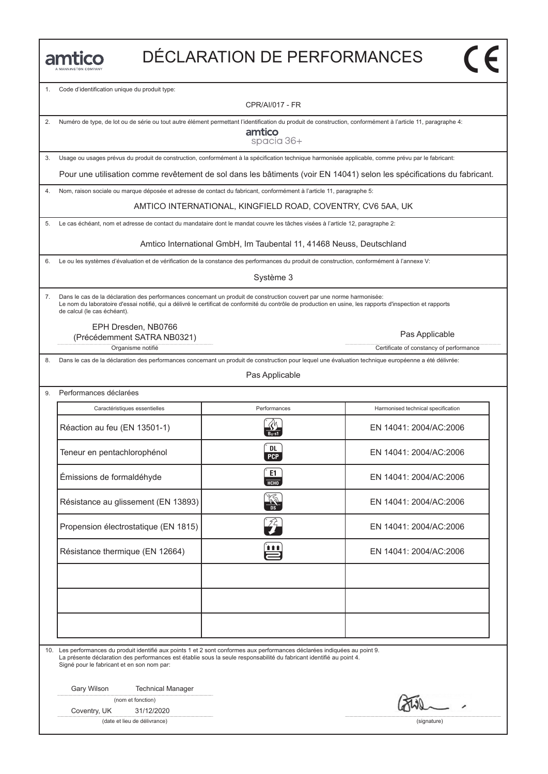1. Code d'identification unique du produit type:

CPR/AI/017 - FR

2. Numéro de type, de lot ou de série ou tout autre élément permettant l'identification du produit de construction, conformément à l'article 11, paragraphe 4:

amtico spacia 36+

3. Usage ou usages prévus du produit de construction, conformément à la spécification technique harmonisée applicable, comme prévu par le fabricant:

Pour une utilisation comme revêtement de sol dans les bâtiments (voir EN 14041) selon les spécifications du fabricant.

4. Nom, raison sociale ou marque déposée et adresse de contact du fabricant, conformément à l'article 11, paragraphe 5:

AMTICO INTERNATIONAL, KINGFIELD ROAD, COVENTRY, CV6 5AA, UK

5. Le cas échéant, nom et adresse de contact du mandataire dont le mandat couvre les tâches visées à l'article 12, paragraphe 2:

Amtico International GmbH, Im Taubental 11, 41468 Neuss, Deutschland

6. Le ou les systèmes d'évaluation et de vérification de la constance des performances du produit de construction, conformément à l'annexe V:

Système 3

7. Dans le cas de la déclaration des performances concernant un produit de construction couvert par une norme harmonisée: Le nom du laboratoire d'essai notifié, qui a délivré le certificat de conformité du contrôle de production en usine, les rapports d'inspection et rapports de calcul (le cas échéant).

EPH Dresden, NB0766

Organisme notifié **Certificate of constancy of performance** Certificate of constancy of performance (Précédemment SATRA NB0321)

8. Dans le cas de la déclaration des performances concernant un produit de construction pour lequel une évaluation technique européenne a été délivrée:

Pas Applicable

| Caractéristiques essentielles        | Performances         | Harmonised technical specification |
|--------------------------------------|----------------------|------------------------------------|
| Réaction au feu (EN 13501-1)         |                      | EN 14041: 2004/AC:2006             |
| Teneur en pentachlorophénol          | DL<br><b>PCP</b>     | EN 14041: 2004/AC:2006             |
| Émissions de formaldéhyde            | E1<br>НСНО           | EN 14041: 2004/AC:2006             |
| Résistance au glissement (EN 13893)  | $\frac{1}{\sqrt{2}}$ | EN 14041: 2004/AC:2006             |
| Propension électrostatique (EN 1815) | 24                   | EN 14041: 2004/AC:2006             |
| Résistance thermique (EN 12664)      | 1 1 1                | EN 14041: 2004/AC:2006             |
|                                      |                      |                                    |
|                                      |                      |                                    |
|                                      |                      |                                    |

10. Les performances du produit identifié aux points 1 et 2 sont conformes aux performances déclarées indiquées au point 9.

La présente déclaration des performances est établie sous la seule responsabilité du fabricant identifié au point 4. Signé pour le fabricant et en son nom par:

Gary Wilson Technical Manager

|  |  | (nom et fonction) |
|--|--|-------------------|
|--|--|-------------------|

Coventry, UK 31/12/2020

(date et lieu de délivrance) (signature)

Pas Applicable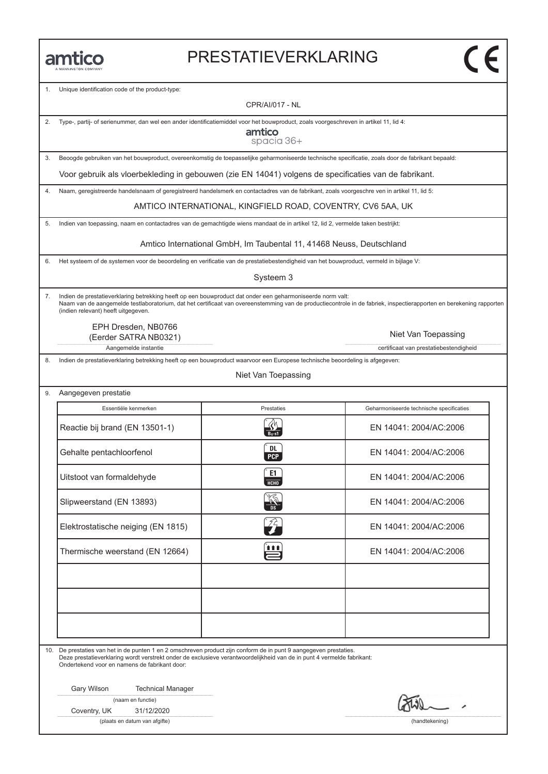#### PRESTATIEVERKLARING

Unique identification code of the product-type:

CPR/AI/017 - NL

2. Type-, partij- of serienummer, dan wel een ander identificatiemiddel voor het bouwproduct, zoals voorgeschreven in artikel 11, lid 4:

amtico spacia 36+

3. Beoogde gebruiken van het bouwproduct, overeenkomstig de toepasselijke geharmoniseerde technische specificatie, zoals door de fabrikant bepaald:

Voor gebruik als vloerbekleding in gebouwen (zie EN 14041) volgens de specificaties van de fabrikant.

4. Naam, geregistreerde handelsnaam of geregistreerd handelsmerk en contactadres van de fabrikant, zoals voorgeschre ven in artikel 11, lid 5:

AMTICO INTERNATIONAL, KINGFIELD ROAD, COVENTRY, CV6 5AA, UK

5. Indien van toepassing, naam en contactadres van de gemachtigde wiens mandaat de in artikel 12, lid 2, vermelde taken bestrijkt:

Amtico International GmbH, Im Taubental 11, 41468 Neuss, Deutschland

6. Het systeem of de systemen voor de beoordeling en verificatie van de prestatiebestendigheid van het bouwproduct, vermeld in bijlage V:

Systeem 3

7. Indien de prestatieverklaring betrekking heeft op een bouwproduct dat onder een geharmoniseerde norm valt: Naam van de aangemelde testlaboratorium, dat het certificaat van overeenstemming van de productiecontrole in de fabriek, inspectierapporten en berekening rapporten (indien relevant) heeft uitgegeven.

EPH Dresden, NB0766 (Eerder SATRA NB0321)

Aangemelde instantie certificaat van prestatiebestendigheid

8. Indien de prestatieverklaring betrekking heeft op een bouwproduct waarvoor een Europese technische beoordeling is afgegeven:

#### Niet Van Toepassing

| Aangegeven prestatie |  |
|----------------------|--|
|----------------------|--|

| Essentiële kenmerken               | Prestaties       | Geharmoniseerde technische specificaties |
|------------------------------------|------------------|------------------------------------------|
| Reactie bij brand (EN 13501-1)     |                  | EN 14041: 2004/AC:2006                   |
| Gehalte pentachloorfenol           | DL<br><b>PCP</b> | EN 14041: 2004/AC:2006                   |
| Uitstoot van formaldehyde          | E1<br>НСНО       | EN 14041: 2004/AC:2006                   |
| Slipweerstand (EN 13893)           |                  | EN 14041: 2004/AC:2006                   |
| Elektrostatische neiging (EN 1815) | 74.              | EN 14041: 2004/AC:2006                   |
| Thermische weerstand (EN 12664)    | <b>TER</b>       | EN 14041: 2004/AC:2006                   |
|                                    |                  |                                          |
|                                    |                  |                                          |
|                                    |                  |                                          |

10. De prestaties van het in de punten 1 en 2 omschreven product zijn conform de in punt 9 aangegeven prestaties. Deze prestatieverklaring wordt verstrekt onder de exclusieve verantwoordelijkheid van de in punt 4 vermelde fabrikant: Ondertekend voor en namens de fabrikant door:

Gary Wilson Technical Manager

(naam en functie)

Coventry, UK 31/12/2020

(plaats en datum van afgifte) (handtekening)

Niet Van Toepassing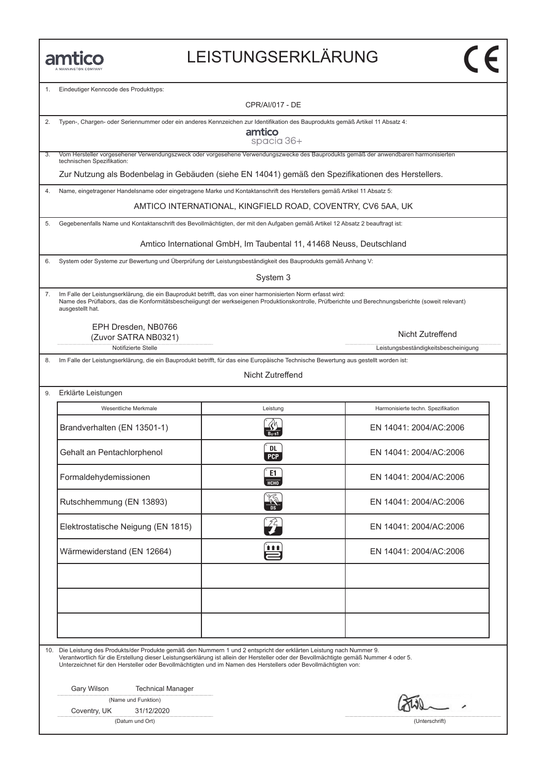#### LEISTUNGSERKLÄRUNG

1. Eindeutiger Kenncode des Produkttyps:

CPR/AI/017 - DE

|  |  | 2. Typen-, Chargen- oder Seriennummer oder ein anderes Kennzeichen zur Identifikation des Bauprodukts gemäß Artikel 11 Absatz 4: |
|--|--|----------------------------------------------------------------------------------------------------------------------------------|
|  |  |                                                                                                                                  |

amtico spacia 36+

3. Vom Hersteller vorgesehener Verwendungszweck oder vorgesehene Verwendungszwecke des Bauprodukts gemäß der anwendbaren harmonisierten technischen Spezifikation:

Zur Nutzung als Bodenbelag in Gebäuden (siehe EN 14041) gemäß den Spezifikationen des Herstellers.

4. Name, eingetragener Handelsname oder eingetragene Marke und Kontaktanschrift des Herstellers gemäß Artikel 11 Absatz 5:

AMTICO INTERNATIONAL, KINGFIELD ROAD, COVENTRY, CV6 5AA, UK

5. Gegebenenfalls Name und Kontaktanschrift des Bevollmächtigten, der mit den Aufgaben gemäß Artikel 12 Absatz 2 beauftragt ist:

Amtico International GmbH, Im Taubental 11, 41468 Neuss, Deutschland

6. System oder Systeme zur Bewertung und Überprüfung der Leistungsbeständigkeit des Bauprodukts gemäß Anhang V:

System 3

7. Im Falle der Leistungserklärung, die ein Bauprodukt betrifft, das von einer harmonisierten Norm erfasst wird: Name des Prüflabors, das die Konformitätsbescheiigungt der werkseigenen Produktionskontrolle, Prüfberichte und Berechnungsberichte (soweit relevant) ausgestellt hat.

> EPH Dresden, NB0766 (Zuvor SATRA NB0321)

> > Notifizierte Stelle Leistungsbeständigkeitsbescheinigung

8. Im Falle der Leistungserklärung, die ein Bauprodukt betrifft, für das eine Europäische Technische Bewertung aus gestellt worden ist:

Nicht Zutreffend

| 9. |  | Erklärte Leistungen |
|----|--|---------------------|
|----|--|---------------------|

| Wesentliche Merkmale               | Leistung                   | Harmonisierte techn. Spezifikation |
|------------------------------------|----------------------------|------------------------------------|
| Brandverhalten (EN 13501-1)        |                            | EN 14041: 2004/AC:2006             |
| Gehalt an Pentachlorphenol         | <b>DL</b><br><b>PCP</b>    | EN 14041: 2004/AC:2006             |
| Formaldehydemissionen              | E1<br>HCHO                 | EN 14041: 2004/AC:2006             |
| Rutschhemmung (EN 13893)           | <b>RE</b><br>.<br>П.       | EN 14041: 2004/AC:2006             |
| Elektrostatische Neigung (EN 1815) | $\mathscr{L}_{\mathbf{L}}$ | EN 14041: 2004/AC:2006             |
| Wärmewiderstand (EN 12664)         | ₩                          | EN 14041: 2004/AC:2006             |
|                                    |                            |                                    |
|                                    |                            |                                    |
|                                    |                            |                                    |

| 10. Die Leistung des Produkts/der Produkte gemäß den Nummern 1 und 2 entspricht der erklärten Leistung nach Nummer 9.                 |
|---------------------------------------------------------------------------------------------------------------------------------------|
| Verantwortlich für die Erstellung dieser Leistungserklärung ist allein der Hersteller oder der Bevollmächtigte gemäß Nummer 4 oder 5. |
| Unterzeichnet für den Hersteller oder Bevollmächtigten und im Namen des Herstellers oder Bevollmächtigten von:                        |

Gary Wilson Technical Manager

Coventry, UK 31/12/2020

(Datum und Ort) (Unterschrift)

Nicht Zutreffend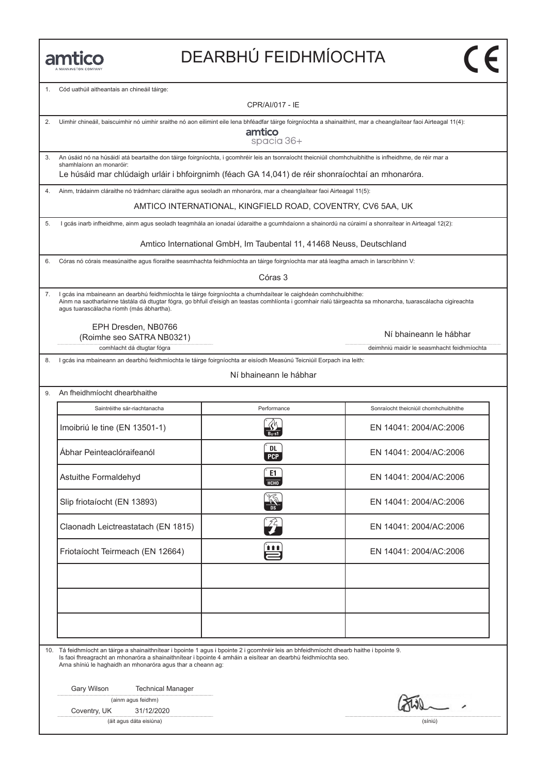# DEARBHÚ FEIDHMÍOCHTA

Cód uathúil aitheantais an chineáil táirge: CPR/AI/017 - IE 2. Uimhir chineáil, baiscuimhir nó uimhir sraithe nó aon eilimint eile lena bhféadfar táirge foirgníochta a shainaithint, mar a cheanglaítear faoi Airteagal 11(4): amtico spacia 36+ 3. An úsáid nó na húsáidí atá beartaithe don táirge foirgníochta, i gcomhréir leis an tsonraíocht theicniúil chomhchuibhithe is infheidhme, de réir mar a shamhlaíonn an monaróir: Le húsáid mar chlúdaigh urláir i bhfoirgnimh (féach GA 14,041) de réir shonraíochtaí an mhonaróra. 4. Ainm, trádainm cláraithe nó trádmharc cláraithe agus seoladh an mhonaróra, mar a cheanglaítear faoi Airteagal 11(5): AMTICO INTERNATIONAL, KINGFIELD ROAD, COVENTRY, CV6 5AA, UK 5. I gcás inarb infheidhme, ainm agus seoladh teagmhála an ionadaí údaraithe a gcumhdaíonn a shainordú na cúraimí a shonraítear in Airteagal 12(2): Amtico International GmbH, Im Taubental 11, 41468 Neuss, Deutschland 6. Córas nó córais measúnaithe agus fíoraithe seasmhachta feidhmíochta an táirge foirgníochta mar atá leagtha amach in Iarscríbhinn V: Córas 3 7. I gcás ina mbaineann an dearbhú feidhmíochta le táirge foirgníochta a chumhdaítear le caighdeán comhchuibhithe: Ainm na saotharlainne tástála dá dtugtar fógra, go bhfuil d'eisigh an teastas comhlíonta i gcomhair rialú táirgeachta sa mhonarcha, tuarascálacha cigireachta agus tuarascálacha ríomh (más ábhartha). EPH Dresden, NB0766 Ní bhaineann le hábhar(Roimhe seo SATRA NB0321) comhlacht dá dtugtar fógra **deimhniú maidir le seasmhacht feidhmíochta** deimhniú maidir le seasmhacht feidhmíochta 8. I gcás ina mbaineann an dearbhú feidhmíochta le táirge foirgníochta ar eisíodh Measúnú Teicniúil Eorpach ina leith: Ní bhaineann le hábhar 9. An fheidhmíocht dhearbhaithe Saintréithe sár-riachtanacha<br>Imoibriú le tine (EN 13501-1)<br>R EN 14041: 2004/AC:2006 Saintréithe sár-riachtanacha **Performance** Performance **Sonraíocht theicniúil chomhchuibhithe** <u>EN 14041: 2004/AC:2006</u><br>
Abhar Peinteaclóraifeanól **(b)**<br>
Abhar Peinteaclóraifeanól (b) CDL EN 14041: 2004/AC:2006 Abhar Peinteaclóraiteanól (b. 14041: 2004/AC:2006)<br>Astuithe Formaldehyd (c E1) (c E1) (c E1) (c EN 14041: 2004/AC:2006)<br>C EN 14041: 2004/AC:2006 Astuithe Formaldehyd EN 14041: 2004/AC:2006<br>
Slip friotaíocht (EN 13893) **Z EN 14041: 2004/AC:2006**<br>
Slip friotaíocht (EN 13893) EN 14041: 2004/AC:2006<br>Claonadh Leictreastatach (EN 1815)<br>Claonadh Leictreastatach (EN 1815) Claonadh Leictreastatach (EN 1815)<br>Friotaíocht Teirmeach (EN 12664)<br>EN 14041: 2004/AC:2006 10. Tá feidhmíocht an táirge a shainaithnítear i bpointe 1 agus i bpointe 2 i gcomhréir leis an bhfeidhmíocht dhearb haithe i bpointe 9. Is faoi fhreagracht an mhonaróra a shainaithnítear i bpointe 4 amháin a eisítear an dearbhú feidhmíochta seo. Arna shíniú le haghaidh an mhonaróra agus thar a cheann ag: Gary Wilson Technical Manager (ainm agus feidhm)

Coventry, UK 31/12/2020

(áit agus dáta eisiúna) (síniú)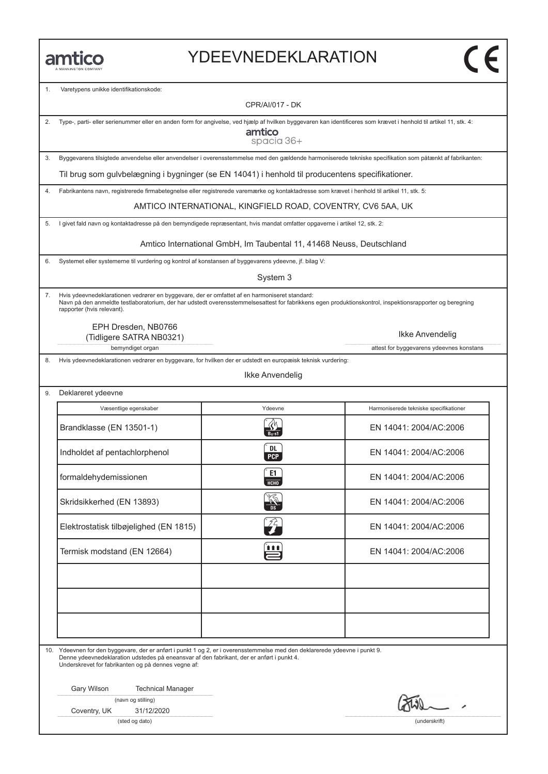#### YDEEVNEDEKLARATION

1. Varetypens unikke identifikationskode: CPR/AI/017 - DK 2. Type-, parti- eller serienummer eller en anden form for angivelse, ved hjælp af hvilken byggevaren kan identificeres som krævet i henhold til artikel 11, stk. 4: amtico spacia 36+ 3. Byggevarens tilsigtede anvendelse eller anvendelser i overensstemmelse med den gældende harmoniserede tekniske specifikation som påtænkt af fabrikanten: Til brug som gulvbelægning i bygninger (se EN 14041) i henhold til producentens specifikationer. 4. Fabrikantens navn, registrerede firmabetegnelse eller registrerede varemærke og kontaktadresse som krævet i henhold til artikel 11, stk. 5: AMTICO INTERNATIONAL, KINGFIELD ROAD, COVENTRY, CV6 5AA, UK 5. I givet fald navn og kontaktadresse på den bemyndigede repræsentant, hvis mandat omfatter opgaverne i artikel 12, stk. 2: Amtico International GmbH, Im Taubental 11, 41468 Neuss, Deutschland 6. Systemet eller systemerne til vurdering og kontrol af konstansen af byggevarens ydeevne, jf. bilag V: System 3 7. Hvis ydeevnedeklarationen vedrører en byggevare, der er omfattet af en harmoniseret standard: Navn på den anmeldte testlaboratorium, der har udstedt overensstemmelsesattest for fabrikkens egen produktionskontrol, inspektionsrapporter og beregning rapporter (hvis relevant). EPH Dresden, NB0766 Ikke Anvendelig(Tidligere SATRA NB0321) bemyndiget organ attest for byggevarens ydeevnes konstans 8. Hvis ydeevnedeklarationen vedrører en byggevare, for hvilken der er udstedt en europæisk teknisk vurdering: Ikke Anvendelig 9. Deklareret ydeevne Væsentlige egenskaber Marmoniserede tekniske specifikatione<br>Brandklasse (EN 13501-1) R EN 14041: 2004/AC:2006 Væsentlige egenskaber **Vasentlige Egenskaber** Harmoniserede tekniske specifikationer Brandklasse (EN 13501-1)<br>
Indholdet af pentachlorphenol (EN 14041: 2004/AC:2006<br>
PCP EN 14041: 2004/AC:2006 Feb EN 14041: 2004/AC:2006<br>
formaldehydemissionen C EN 14041: 2004/AC:2006<br>
EN 14041: 2004/AC:2006 EN 14041: 2004/AC:2006<br>
EN 14041: 2004/AC:2006<br>
Skridsikkerhed (EN 13893) Elektrostatisk tilbøjelighed (EN 1815)<br>Elektrostatisk tilbøjelighed (EN 1815)<br>EN 14041: 2004/AC:2006 Elektrostatisk tilbøjelighed (EN 1815)<br>Termisk modstand (EN 12664)<br>Termisk modstand (EN 12664) 10. Ydeevnen for den byggevare, der er anført i punkt 1 og 2, er i overensstemmelse med den deklarerede ydeevne i punkt 9. Denne ydeevnedeklaration udstedes på eneansvar af den fabrikant, der er anført i punkt 4. Underskrevet for fabrikanten og på dennes vegne af: Gary Wilson Technical Manager (navn og stilling) Coventry, UK 31/12/2020

(sted og dato) (underskrift)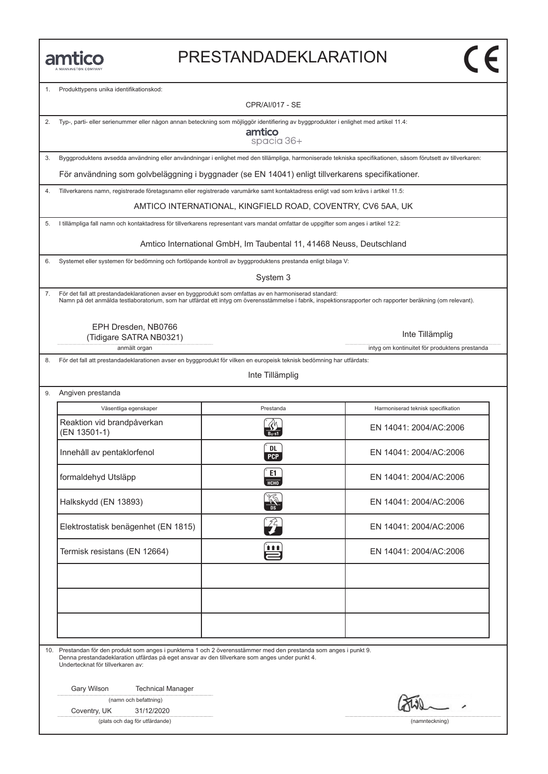#### PRESTANDADEKLARATION

1. Produkttypens unika identifikationskod:

CPR/AI/017 - SE

2. Typ-, parti- eller serienummer eller någon annan beteckning som möjliggör identifiering av byggprodukter i enlighet med artikel 11.4:

amtico spacia 36+

3. Byggproduktens avsedda användning eller användningar i enlighet med den tillämpliga, harmoniserade tekniska specifikationen, såsom förutsett av tillverkaren:

För användning som golvbeläggning i byggnader (se EN 14041) enligt tillverkarens specifikationer.

4. Tillverkarens namn, registrerade företagsnamn eller registrerade varumärke samt kontaktadress enligt vad som krävs i artikel 11.5:

AMTICO INTERNATIONAL, KINGFIELD ROAD, COVENTRY, CV6 5AA, UK

5. I tillämpliga fall namn och kontaktadress för tillverkarens representant vars mandat omfattar de uppgifter som anges i artikel 12.2:

Amtico International GmbH, Im Taubental 11, 41468 Neuss, Deutschland

6. Systemet eller systemen för bedömning och fortlöpande kontroll av byggproduktens prestanda enligt bilaga V:

System 3

7. För det fall att prestandadeklarationen avser en byggprodukt som omfattas av en harmoniserad standard: Namn på det anmälda testlaboratorium, som har utfärdat ett intyg om överensstämmelse i fabrik, inspektionsrapporter och rapporter beräkning (om relevant).

> EPH Dresden, NB0766 (Tidigare SATRA NB0321)

> > anmält organ intyg om kontinuitet för produktens prestanda

9. Angiven prestanda

8. För det fall att prestandadeklarationen avser en byggprodukt för vilken en europeisk teknisk bedömning har utfärdats:

Inte Tillämplig

| Väsentliga egenskaper                      | Prestanda                   | Harmoniserad teknisk specifikation |
|--------------------------------------------|-----------------------------|------------------------------------|
| Reaktion vid brandpåverkan<br>(EN 13501-1) | $B_{II}$ -s1                | EN 14041: 2004/AC:2006             |
| Innehåll av pentaklorfenol                 | DL.<br>PCP                  | EN 14041: 2004/AC:2006             |
| formaldehyd Utsläpp                        | E1<br>HT                    | EN 14041: 2004/AC:2006             |
| Halkskydd (EN 13893)                       |                             | EN 14041: 2004/AC:2006             |
| Elektrostatisk benägenhet (EN 1815)        | $\widehat{Z}_{\widehat{T}}$ | EN 14041: 2004/AC:2006             |
| Termisk resistans (EN 12664)               | <u>in</u>                   | EN 14041: 2004/AC:2006             |
|                                            |                             |                                    |
|                                            |                             |                                    |
|                                            |                             |                                    |

10. Prestandan för den produkt som anges i punkterna 1 och 2 överensstämmer med den prestanda som anges i punkt 9. Denna prestandadeklaration utfärdas på eget ansvar av den tillverkare som anges under punkt 4. Undertecknat för tillverkaren av:

Gary Wilson Technical Manager

(namn och befattning)

Coventry, UK 31/12/2020

(plats och dag för utfärdande) (namnteckning)

Inte Tillämplig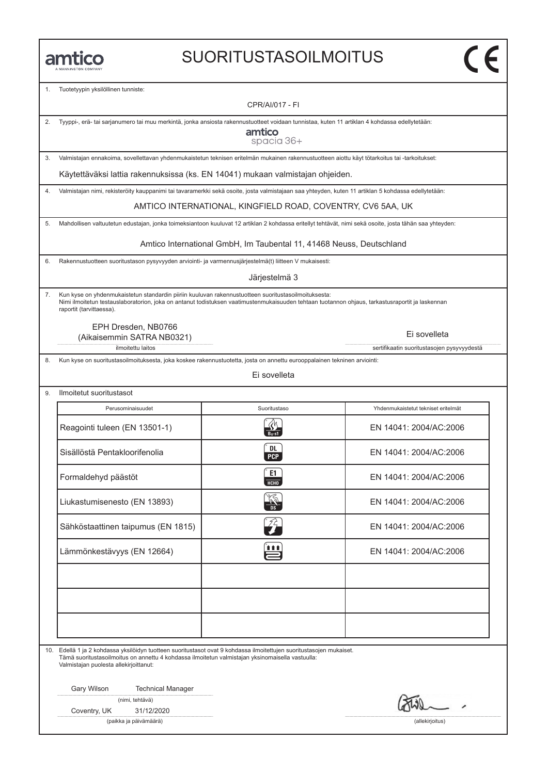#### SUORITUSTASOILMOITUS

1. Tuotetyypin yksilöllinen tunniste:

CPR/AI/017 - FI

|  | 2. Tyyppi-, erä- tai sarjanumero tai muu merkintä, jonka ansiosta rakennustuotteet voidaan tunnistaa, kuten 11 artiklan 4 kohdassa edellytetään: |  |
|--|--------------------------------------------------------------------------------------------------------------------------------------------------|--|

amtico spacia 36+

3. Valmistajan ennakoima, sovellettavan yhdenmukaistetun teknisen eritelmän mukainen rakennustuotteen aiottu käyt tötarkoitus tai -tarkoitukset:

Käytettäväksi lattia rakennuksissa (ks. EN 14041) mukaan valmistajan ohjeiden.

4. Valmistajan nimi, rekisteröity kauppanimi tai tavaramerkki sekä osoite, josta valmistajaan saa yhteyden, kuten 11 artiklan 5 kohdassa edellytetään:

AMTICO INTERNATIONAL, KINGFIELD ROAD, COVENTRY, CV6 5AA, UK

5. Mahdollisen valtuutetun edustajan, jonka toimeksiantoon kuuluvat 12 artiklan 2 kohdassa eritellyt tehtävät, nimi sekä osoite, josta tähän saa yhteyden:

Amtico International GmbH, Im Taubental 11, 41468 Neuss, Deutschland

6. Rakennustuotteen suoritustason pysyvyyden arviointi- ja varmennusjärjestelmä(t) liitteen V mukaisesti:

Järjestelmä 3

7. Kun kyse on yhdenmukaistetun standardin piiriin kuuluvan rakennustuotteen suoritustasoilmoituksesta: Nimi ilmoitetun testauslaboratorion, joka on antanut todistuksen vaatimustenmukaisuuden tehtaan tuotannon ohjaus, tarkastusraportit ja laskennan raportit (tarvittaessa).

EPH Dresden, NB0766 (Aikaisemmin SATRA NB0321)

9. Ilmoitetut suoritustasot

ilmoitettu laitos sertifikaatin suoritustasojen pysyvyydestä

8. Kun kyse on suoritustasoilmoituksesta, joka koskee rakennustuotetta, josta on annettu eurooppalainen tekninen arviointi:

Ei sovelleta

| Perusominaisuudet                  | Suoritustaso     | Yhdenmukaistetut tekniset eritelmät |
|------------------------------------|------------------|-------------------------------------|
| Reagointi tuleen (EN 13501-1)      |                  | EN 14041: 2004/AC:2006              |
| Sisällöstä Pentakloorifenolia      | DL<br><b>PCP</b> | EN 14041: 2004/AC:2006              |
| Formaldehyd päästöt                | E1<br>HT         | EN 14041: 2004/AC:2006              |
| Liukastumisenesto (EN 13893)       |                  | EN 14041: 2004/AC:2006              |
| Sähköstaattinen taipumus (EN 1815) |                  | EN 14041: 2004/AC:2006              |
| Lämmönkestävyys (EN 12664)         | 自自自              | EN 14041: 2004/AC:2006              |
|                                    |                  |                                     |
|                                    |                  |                                     |
|                                    |                  |                                     |

10. Edellä 1 ja 2 kohdassa yksilöidyn tuotteen suoritustasot ovat 9 kohdassa ilmoitettujen suoritustasojen mukaiset. Tämä suoritustasoilmoitus on annettu 4 kohdassa ilmoitetun valmistajan yksinomaisella vastuulla: Valmistajan puolesta allekirjoittanut:

Gary Wilson Technical Manager

| (nimi, tehtävä) |
|-----------------|
|                 |

Coventry, UK 31/12/2020

(paikka ja päivämäärä) (allekirjoitus)

Ei sovelleta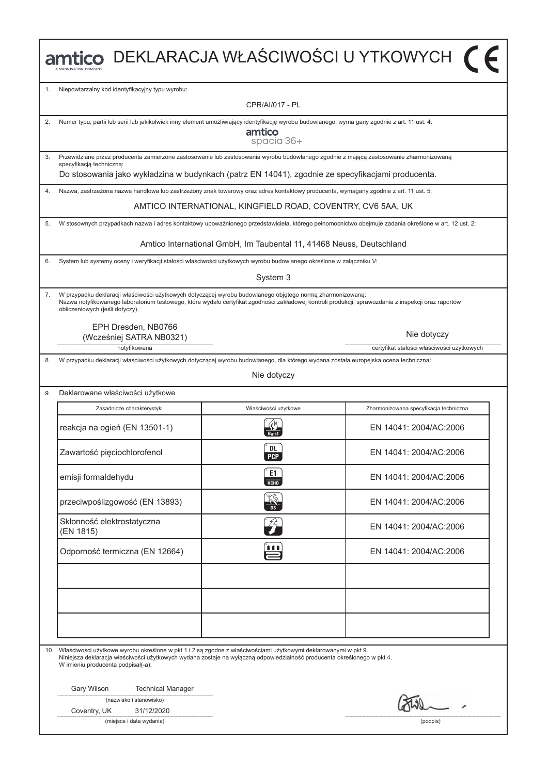|    |                                                                                                                                                                                                                                                                                                       |                                                                      | ntico DEKLARACJA WŁAŚCIWOŚCI U YTKOWYCH (F                                                                                                           |  |  |
|----|-------------------------------------------------------------------------------------------------------------------------------------------------------------------------------------------------------------------------------------------------------------------------------------------------------|----------------------------------------------------------------------|------------------------------------------------------------------------------------------------------------------------------------------------------|--|--|
| 1. | Niepowtarzalny kod identyfikacyjny typu wyrobu:                                                                                                                                                                                                                                                       |                                                                      |                                                                                                                                                      |  |  |
|    |                                                                                                                                                                                                                                                                                                       | CPR/AI/017 - PL                                                      |                                                                                                                                                      |  |  |
| 2. | Numer typu, partii lub serii lub jakikolwiek inny element umożliwiający identyfikację wyrobu budowlanego, wyma gany zgodnie z art. 11 ust. 4:                                                                                                                                                         | amtico<br>spacia 36+                                                 |                                                                                                                                                      |  |  |
| 3. | Przewidziane przez producenta zamierzone zastosowanie lub zastosowania wyrobu budowlanego zgodnie z mającą zastosowanie zharmonizowaną<br>specyfikacją techniczną:                                                                                                                                    |                                                                      |                                                                                                                                                      |  |  |
|    | Do stosowania jako wykładzina w budynkach (patrz EN 14041), zgodnie ze specyfikacjami producenta.                                                                                                                                                                                                     |                                                                      |                                                                                                                                                      |  |  |
| 4. | Nazwa, zastrzeżona nazwa handlowa lub zastrzeżony znak towarowy oraz adres kontaktowy producenta, wymagany zgodnie z art. 11 ust. 5:                                                                                                                                                                  |                                                                      |                                                                                                                                                      |  |  |
|    |                                                                                                                                                                                                                                                                                                       | AMTICO INTERNATIONAL, KINGFIELD ROAD, COVENTRY, CV6 5AA, UK          |                                                                                                                                                      |  |  |
| 5. |                                                                                                                                                                                                                                                                                                       |                                                                      | W stosownych przypadkach nazwa i adres kontaktowy upoważnionego przedstawiciela, którego pełnomocnictwo obejmuje zadania określone w art. 12 ust. 2: |  |  |
|    |                                                                                                                                                                                                                                                                                                       | Amtico International GmbH, Im Taubental 11, 41468 Neuss, Deutschland |                                                                                                                                                      |  |  |
| 6. | System lub systemy oceny i weryfikacji stałości właściwości użytkowych wyrobu budowlanego określone w załączniku V:                                                                                                                                                                                   |                                                                      |                                                                                                                                                      |  |  |
|    |                                                                                                                                                                                                                                                                                                       | System 3                                                             |                                                                                                                                                      |  |  |
| 7. | W przypadku deklaracji właściwości użytkowych dotyczącej wyrobu budowlanego objętego normą zharmonizowaną:<br>Nazwa notyfikowanego laboratorium testowego, które wydało certyfikat zgodności zakładowej kontroli produkcji, sprawozdania z inspekcji oraz raportów<br>obliczeniowych (jeśli dotyczy). |                                                                      |                                                                                                                                                      |  |  |
|    | EPH Dresden, NB0766<br>(Wcześniej SATRA NB0321)                                                                                                                                                                                                                                                       |                                                                      | Nie dotyczy                                                                                                                                          |  |  |
| 8. | notyfikowana<br>W przypadku deklaracji właściwości użytkowych dotyczącej wyrobu budowlanego, dla którego wydana została europejska ocena techniczna:                                                                                                                                                  |                                                                      | certyfikat stałości właściwości użytkowych                                                                                                           |  |  |
|    |                                                                                                                                                                                                                                                                                                       | Nie dotyczy                                                          |                                                                                                                                                      |  |  |
| 9. | Deklarowane właściwości użytkowe                                                                                                                                                                                                                                                                      |                                                                      |                                                                                                                                                      |  |  |
|    | Zasadnicze charakterystyki                                                                                                                                                                                                                                                                            | Właściwości użytkowe                                                 | Zharmonizowana specyfikacja techniczna                                                                                                               |  |  |
|    | reakcja na ogień (EN 13501-1)                                                                                                                                                                                                                                                                         |                                                                      | EN 14041: 2004/AC:2006                                                                                                                               |  |  |
|    | Zawartość pięciochlorofenol                                                                                                                                                                                                                                                                           | DL<br><b>PCP</b>                                                     | EN 14041: 2004/AC:2006                                                                                                                               |  |  |
|    | emisji formaldehydu                                                                                                                                                                                                                                                                                   | E1<br>нсно                                                           | EN 14041: 2004/AC:2006                                                                                                                               |  |  |
|    | przeciwpoślizgowość (EN 13893)                                                                                                                                                                                                                                                                        |                                                                      | EN 14041: 2004/AC:2006                                                                                                                               |  |  |
|    | Skłonność elektrostatyczna<br>(EN 1815)                                                                                                                                                                                                                                                               | $\widehat{\mathscr{L}}$                                              | EN 14041: 2004/AC:2006                                                                                                                               |  |  |
|    | Odporność termiczna (EN 12664)                                                                                                                                                                                                                                                                        | <u>888</u>                                                           |                                                                                                                                                      |  |  |
|    |                                                                                                                                                                                                                                                                                                       |                                                                      |                                                                                                                                                      |  |  |
|    |                                                                                                                                                                                                                                                                                                       |                                                                      |                                                                                                                                                      |  |  |
|    | 10. Właściwości użytkowe wyrobu określone w pkt 1 i 2 są zgodne z właściwościami użytkowymi deklarowanymi w pkt 9.<br>Niniejsza deklaracja właściwości użytkowych wydana zostaje na wyłączną odpowiedzialność producenta określonego w pkt 4.<br>W imieniu producenta podpisał(-a):                   |                                                                      |                                                                                                                                                      |  |  |
|    | Gary Wilson<br><b>Technical Manager</b>                                                                                                                                                                                                                                                               |                                                                      |                                                                                                                                                      |  |  |
|    | (nazwisko i stanowisko)<br>Coventry, UK<br>31/12/2020                                                                                                                                                                                                                                                 |                                                                      |                                                                                                                                                      |  |  |
|    | (miejsce i data wydania)                                                                                                                                                                                                                                                                              |                                                                      | (podpis)                                                                                                                                             |  |  |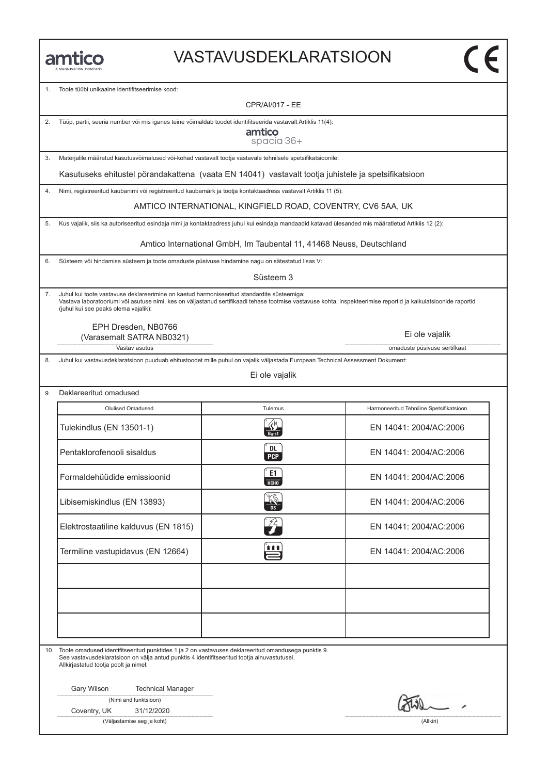#### VASTAVUSDEKLARATSIOON

1. Toote tüϋbi unikaalne identifitseerimise kood:

CPR/AI/017 - EE

|  |  |  |  | Tüüp, partii, seeria number või mis iganes teine võimaldab toodet identifitseerida vastavalt Artiklis 11(4): |  |
|--|--|--|--|--------------------------------------------------------------------------------------------------------------|--|
|--|--|--|--|--------------------------------------------------------------------------------------------------------------|--|

amtico spacia 36+

3. Materjalile määratud kasutusvöimalused vöi-kohad vastavalt tootja vastavale tehnilsele spetsifikatsioonile:

Kasutuseks ehitustel pörandakattena (vaata EN 14041) vastavalt tootja juhistele ja spetsifikatsioon

4. Nimi, registreeritud kaubanimi vöi registreeritud kaubamärk ja tootja kontaktaadress vastavalt Artiklis 11 (5):

AMTICO INTERNATIONAL, KINGFIELD ROAD, COVENTRY, CV6 5AA, UK

5. Kus vajalik, siis ka autoriseeritud esindaja nimi ja kontaktaadress juhul kui esindaja mandaadid katavad ülesanded mis määratletud Artiklis 12 (2):

Amtico International GmbH, Im Taubental 11, 41468 Neuss, Deutschland

6. Süsteem vöi hindamise süsteem ja toote omaduste püsivuse hindamine nagu on sätestatud lisas V:

Süsteem 3

7. Juhul kui toote vastavuse deklareerimine on kaetud harmoniseeritud standardite süsteemiga: Vastava laboratooriumi vöi asutuse nimi, kes on väljastanud sertifikaadi tehase tootmise vastavuse kohta, inspekteerimise reportid ja kalkulatsioonide raportid (juhul kui see peaks olema vajalik):

EPH Dresden, NB0766 (Varasemalt SATRA NB0321)

Vastav asutus omaduste püsivuse sertifkaat

8. Juhul kui vastavusdeklaratsioon puuduab ehitustoodet mille puhul on vajalik väljastada European Technical Assessment Dokument:

Ei ole vajalik

| Deklareeritud omadused               |                             |                                          |  |  |
|--------------------------------------|-----------------------------|------------------------------------------|--|--|
| Olulised Omadused                    | Tulemus                     | Harmoneeritud Tehniline Spetsifikatsioon |  |  |
| Tulekindlus (EN 13501-1)             |                             | EN 14041: 2004/AC:2006                   |  |  |
| Pentaklorofenooli sisaldus           | <b>DL</b><br>PCP            | EN 14041: 2004/AC:2006                   |  |  |
| Formaldehüüdide emissioonid          | E1<br>HT                    | EN 14041: 2004/AC:2006                   |  |  |
| Libisemiskindlus (EN 13893)          |                             | EN 14041: 2004/AC:2006                   |  |  |
| Elektrostaatiline kalduvus (EN 1815) | $\mathcal{L}_{\mathcal{T}}$ | EN 14041: 2004/AC:2006                   |  |  |
| Termiline vastupidavus (EN 12664)    | ÿn                          | EN 14041: 2004/AC:2006                   |  |  |
|                                      |                             |                                          |  |  |
|                                      |                             |                                          |  |  |
|                                      |                             |                                          |  |  |

10. Toote omadused identifitseeritud punktides 1 ja 2 on vastavuses deklareeritud omandusega punktis 9. See vastavusdeklaratsioon on välja antud punktis 4 identifitseeritud tootja ainuvastutusel. Allkirjastatud tootja poolt ja nimel:

Gary Wilson Technical Manager

|  |  |  | (Nimi and funktsioon) |
|--|--|--|-----------------------|
|--|--|--|-----------------------|

Coventry, UK 31/12/2020

(Väljastamise aeg ja koht) (Allkiri)

Ei ole vajalik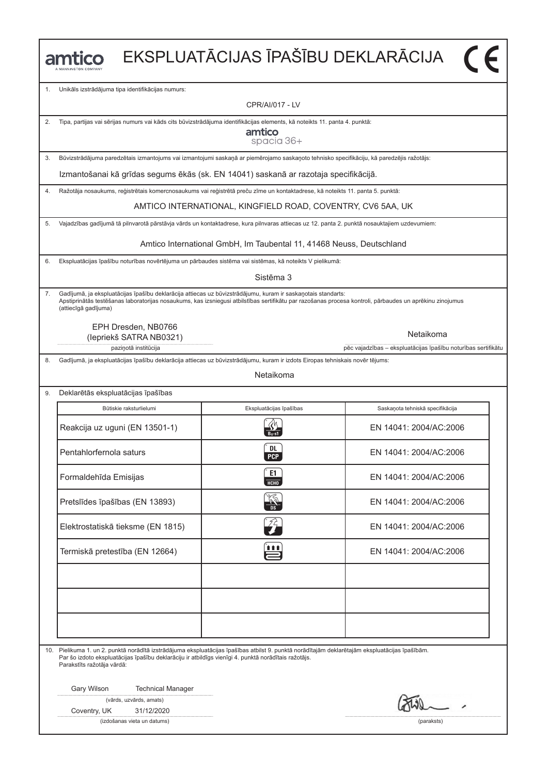|    | amtico                                                                                                                                                                                                                                                                                           |                                                                                                                                                    | EKSPLUATĀCIJAS ĪPAŠĪBU DEKLARĀCIJA |  |  |  |  |
|----|--------------------------------------------------------------------------------------------------------------------------------------------------------------------------------------------------------------------------------------------------------------------------------------------------|----------------------------------------------------------------------------------------------------------------------------------------------------|------------------------------------|--|--|--|--|
| 1. | Unikāls izstrādājuma tipa identifikācijas numurs:                                                                                                                                                                                                                                                |                                                                                                                                                    |                                    |  |  |  |  |
|    |                                                                                                                                                                                                                                                                                                  | CPR/AI/017 - LV                                                                                                                                    |                                    |  |  |  |  |
| 2. |                                                                                                                                                                                                                                                                                                  | Tipa, partijas vai sērijas numurs vai kāds cits būvizstrādājuma identifikācijas elements, kā noteikts 11. panta 4. punktā:<br>amtico<br>spacia 36+ |                                    |  |  |  |  |
| 3. | Būvizstrādājuma paredzētais izmantojums vai izmantojumi saskaņā ar piemērojamo saskaņoto tehnisko specifikāciju, kā paredzējis ražotājs:                                                                                                                                                         |                                                                                                                                                    |                                    |  |  |  |  |
|    |                                                                                                                                                                                                                                                                                                  | Izmantošanai kā grīdas segums ēkās (sk. EN 14041) saskanā ar razotaja specifikācijā.                                                               |                                    |  |  |  |  |
| 4. | Ražotāja nosaukums, reģistrētais komercnosaukums vai reģistrētā preču zīme un kontaktadrese, kā noteikts 11. panta 5. punktā:                                                                                                                                                                    |                                                                                                                                                    |                                    |  |  |  |  |
|    |                                                                                                                                                                                                                                                                                                  | AMTICO INTERNATIONAL, KINGFIELD ROAD, COVENTRY, CV6 5AA, UK                                                                                        |                                    |  |  |  |  |
| 5. | Vajadzības gadījumā tā pilnvarotā pārstāvja vārds un kontaktadrese, kura pilnvaras attiecas uz 12. panta 2. punktā nosauktajiem uzdevumiem:                                                                                                                                                      |                                                                                                                                                    |                                    |  |  |  |  |
|    |                                                                                                                                                                                                                                                                                                  | Amtico International GmbH, Im Taubental 11, 41468 Neuss, Deutschland                                                                               |                                    |  |  |  |  |
| 6. | Ekspluatācijas īpašību noturības novērtējuma un pārbaudes sistēma vai sistēmas, kā noteikts V pielikumā:                                                                                                                                                                                         |                                                                                                                                                    |                                    |  |  |  |  |
|    |                                                                                                                                                                                                                                                                                                  | Sistēma 3                                                                                                                                          |                                    |  |  |  |  |
| 7. | Gadījumā, ja ekspluatācijas īpašību deklarācija attiecas uz būvizstrādājumu, kuram ir saskaņotais standarts:<br>Apstiprinātās testēšanas laboratorijas nosaukums, kas izsniegusi atbilstības sertifikātu par razošanas procesa kontroli, pārbaudes un aprēkinu zinojumus<br>(attiecīgā gadījuma) |                                                                                                                                                    |                                    |  |  |  |  |
|    | EPH Dresden, NB0766<br>Netaikoma<br>(lepriekš SATRA NB0321)<br>pēc vajadzības - ekspluatācijas īpašību noturības sertifikātu<br>paziņotā institūcija                                                                                                                                             |                                                                                                                                                    |                                    |  |  |  |  |
| 8. | Gadījumā, ja ekspluatācijas īpašību deklarācija attiecas uz būvizstrādājumu, kuram ir izdots Eiropas tehniskais novēr tējums:                                                                                                                                                                    |                                                                                                                                                    |                                    |  |  |  |  |
|    |                                                                                                                                                                                                                                                                                                  | Netaikoma                                                                                                                                          |                                    |  |  |  |  |
| 9. | Deklarētās ekspluatācijas īpašības                                                                                                                                                                                                                                                               |                                                                                                                                                    |                                    |  |  |  |  |
|    | Būtiskie raksturlielumi<br>Ekspluatācijas īpašības                                                                                                                                                                                                                                               |                                                                                                                                                    | Saskaņota tehniskā specifikācija   |  |  |  |  |
|    | Reakcija uz uguni (EN 13501-1)                                                                                                                                                                                                                                                                   |                                                                                                                                                    | EN 14041: 2004/AC:2006             |  |  |  |  |
|    | Pentahlorfernola saturs                                                                                                                                                                                                                                                                          | DL.<br><b>PCP</b>                                                                                                                                  | EN 14041: 2004/AC:2006             |  |  |  |  |
|    | Formaldehīda Emisijas                                                                                                                                                                                                                                                                            | E1<br><b>HCHO</b>                                                                                                                                  | EN 14041: 2004/AC:2006             |  |  |  |  |
|    | Pretslīdes īpašības (EN 13893)                                                                                                                                                                                                                                                                   |                                                                                                                                                    | EN 14041: 2004/AC:2006             |  |  |  |  |
|    | Elektrostatiskā tieksme (EN 1815)                                                                                                                                                                                                                                                                |                                                                                                                                                    | EN 14041: 2004/AC:2006             |  |  |  |  |
|    | Termiskā pretestība (EN 12664)                                                                                                                                                                                                                                                                   | 111                                                                                                                                                | EN 14041: 2004/AC:2006             |  |  |  |  |
|    |                                                                                                                                                                                                                                                                                                  |                                                                                                                                                    |                                    |  |  |  |  |
|    | 10. Pielikuma 1. un 2. punktā norādītā izstrādājuma ekspluatācijas īpašības atbilst 9. punktā norādītajām deklarētajām ekspluatācijas īpašībām.<br>Par šo izdoto ekspluatācijas īpašību deklarāciju ir atbildīgs vienīgi 4. punktā norādītais ražotājs.                                          |                                                                                                                                                    |                                    |  |  |  |  |
|    | Parakstīts ražotāja vārdā:<br>Gary Wilson<br><b>Technical Manager</b><br>(vārds, uzvārds, amats)<br>Coventry, UK<br>31/12/2020                                                                                                                                                                   |                                                                                                                                                    |                                    |  |  |  |  |
|    | (izdošanas vieta un datums)                                                                                                                                                                                                                                                                      |                                                                                                                                                    | (paraksts)                         |  |  |  |  |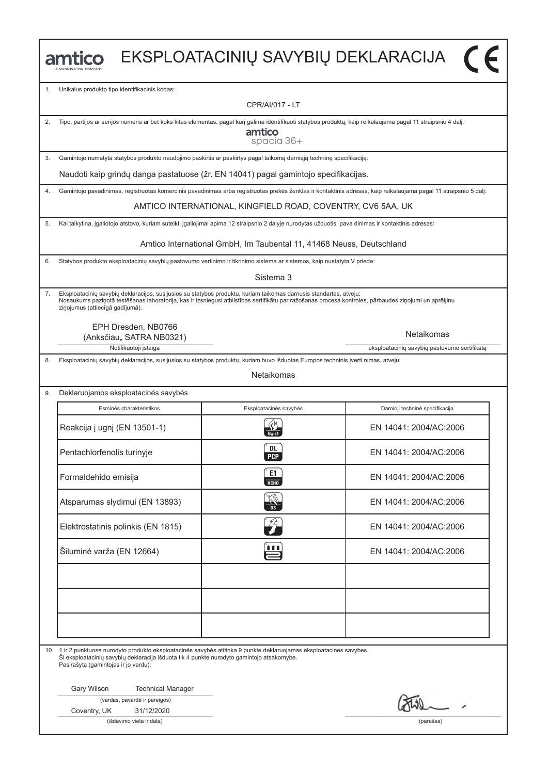|    | Unikalus produkto tipo identifikacinis kodas:                                                                                                                                                                                                                                                                  |                                                                      |                                                                                                                                                                   |  |  |  |
|----|----------------------------------------------------------------------------------------------------------------------------------------------------------------------------------------------------------------------------------------------------------------------------------------------------------------|----------------------------------------------------------------------|-------------------------------------------------------------------------------------------------------------------------------------------------------------------|--|--|--|
| 1. |                                                                                                                                                                                                                                                                                                                | <b>CPR/AI/017 - LT</b>                                               |                                                                                                                                                                   |  |  |  |
| 2. | Tipo, partijos ar serijos numeris ar bet koks kitas elementas, pagal kurį galima identifikuoti statybos produktą, kaip reikalaujama pagal 11 straipsnio 4 dalį:                                                                                                                                                | amtico                                                               |                                                                                                                                                                   |  |  |  |
| 3. | Gamintojo numatyta statybos produkto naudojimo paskirtis ar paskirtys pagal taikomą darniąją techninę specifikaciją:                                                                                                                                                                                           | spacia 36+                                                           |                                                                                                                                                                   |  |  |  |
|    | Naudoti kaip grindų danga pastatuose (žr. EN 14041) pagal gamintojo specifikacijas.                                                                                                                                                                                                                            |                                                                      |                                                                                                                                                                   |  |  |  |
| 4. |                                                                                                                                                                                                                                                                                                                |                                                                      | Gamintojo pavadinimas, registruotas komercinis pavadinimas arba registruotas prekės ženklas ir kontaktinis adresas, kaip reikalaujama pagal 11 straipsnio 5 dalį: |  |  |  |
|    |                                                                                                                                                                                                                                                                                                                | AMTICO INTERNATIONAL, KINGFIELD ROAD, COVENTRY, CV6 5AA, UK          |                                                                                                                                                                   |  |  |  |
| 5. | Kai taikytina, įgaliotojo atstovo, kuriam suteikti įgaliojimai apima 12 straipsnio 2 dalyje nurodytas užduotis, pava dinimas ir kontaktinis adresas:                                                                                                                                                           |                                                                      |                                                                                                                                                                   |  |  |  |
|    |                                                                                                                                                                                                                                                                                                                | Amtico International GmbH, Im Taubental 11, 41468 Neuss, Deutschland |                                                                                                                                                                   |  |  |  |
| 6. | Statybos produkto eksploatacinių savybių pastovumo vertinimo ir tikrinimo sistema ar sistemos, kaip nustatyta V priede:                                                                                                                                                                                        |                                                                      |                                                                                                                                                                   |  |  |  |
|    |                                                                                                                                                                                                                                                                                                                | Sistema 3                                                            |                                                                                                                                                                   |  |  |  |
| 7. | Eksploatacinių savybių deklaracijos, susijusios su statybos produktu, kuriam taikomas darnusis standartas, atveju:<br>Nosaukums paziņotā testēšanas laboratorija, kas ir izsniegusi atbilstības sertifikātu par ražošanas procesa kontroles, pārbaudes ziņojumi un aprēķinu<br>ziņojumus (attiecīgā gadījumā). |                                                                      |                                                                                                                                                                   |  |  |  |
|    | EPH Dresden, NB0766<br>(Anksčiau,, SATRA NB0321)<br>Notifikuotoji įstaiga                                                                                                                                                                                                                                      |                                                                      | Netaikomas<br>eksploatacinių savybių pastovumo sertifikatą                                                                                                        |  |  |  |
| 8. | Eksploatacinių savybių deklaracijos, susijusios su statybos produktu, kuriam buvo išduotas Europos techninis įverti nimas, atveju:                                                                                                                                                                             |                                                                      |                                                                                                                                                                   |  |  |  |
|    | Netaikomas                                                                                                                                                                                                                                                                                                     |                                                                      |                                                                                                                                                                   |  |  |  |
| 9. | Deklaruojamos eksploatacinės savybės                                                                                                                                                                                                                                                                           |                                                                      |                                                                                                                                                                   |  |  |  |
|    | Esminės charakteristikos                                                                                                                                                                                                                                                                                       | Eksploatacinės savybės                                               | Darnioji techninė specifikacija                                                                                                                                   |  |  |  |
|    | Reakcija į ugnį (EN 13501-1)                                                                                                                                                                                                                                                                                   |                                                                      | EN 14041: 2004/AC:2006                                                                                                                                            |  |  |  |
|    | Pentachlorfenolis turinyje                                                                                                                                                                                                                                                                                     | DL<br><b>PCP</b>                                                     | EN 14041: 2004/AC:2006                                                                                                                                            |  |  |  |
|    | Formaldehido emisija                                                                                                                                                                                                                                                                                           | E1<br>НСНО                                                           | EN 14041: 2004/AC:2006                                                                                                                                            |  |  |  |
|    | Atsparumas slydimui (EN 13893)                                                                                                                                                                                                                                                                                 |                                                                      | EN 14041: 2004/AC:2006                                                                                                                                            |  |  |  |
|    | Elektrostatinis polinkis (EN 1815)                                                                                                                                                                                                                                                                             | $\widehat{J}_{\bm{\tau}}$                                            | EN 14041: 2004/AC:2006                                                                                                                                            |  |  |  |
|    | Šiluminė varža (EN 12664)                                                                                                                                                                                                                                                                                      | <u>888</u>                                                           | EN 14041: 2004/AC:2006                                                                                                                                            |  |  |  |
|    |                                                                                                                                                                                                                                                                                                                |                                                                      |                                                                                                                                                                   |  |  |  |
|    |                                                                                                                                                                                                                                                                                                                |                                                                      |                                                                                                                                                                   |  |  |  |
|    | 10. 1 ir 2 punktuose nurodyto produkto eksploatacinės savybės atitinka 9 punkte deklaruojamas eksploatacines savybes.<br>Ši eksploatacinių savybių deklaracija išduota tik 4 punkte nurodyto gamintojo atsakomybe.<br>Pasirašyta (gamintojas ir jo vardu):                                                     |                                                                      |                                                                                                                                                                   |  |  |  |
|    | Gary Wilson<br><b>Technical Manager</b><br>(vardas, pavardė ir pareigos)<br>Coventry, UK<br>31/12/2020                                                                                                                                                                                                         |                                                                      |                                                                                                                                                                   |  |  |  |
|    | (išdavimo vieta ir data)                                                                                                                                                                                                                                                                                       |                                                                      | (parašas)                                                                                                                                                         |  |  |  |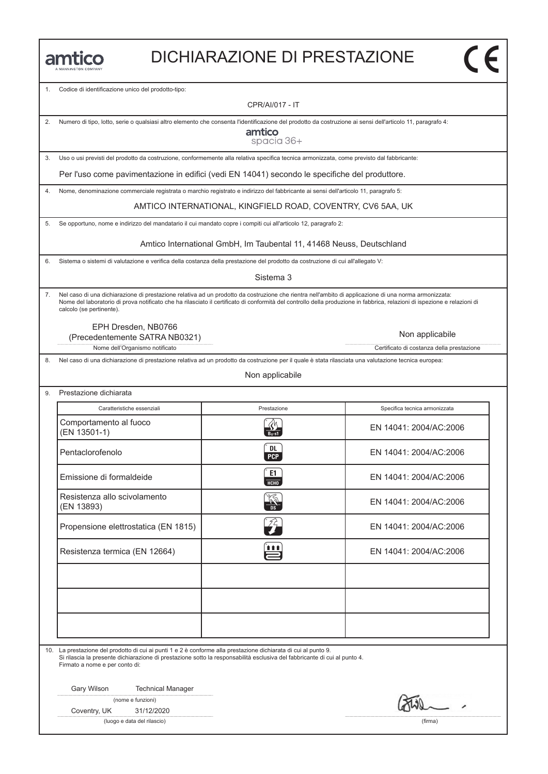### DICHIARAZIONE DI PRESTAZIONE

Codice di identificazione unico del prodotto-tipo:

CPR/AI/017 - IT

|  |  |  |  |  | 2. Numero di tipo, lotto, serie o qualsiasi altro elemento che consenta l'identificazione del prodotto da costruzione ai sensi dell'articolo 11, paragrafo 4: |  |
|--|--|--|--|--|---------------------------------------------------------------------------------------------------------------------------------------------------------------|--|
|--|--|--|--|--|---------------------------------------------------------------------------------------------------------------------------------------------------------------|--|

amtico spacia 36+

3. Uso o usi previsti del prodotto da costruzione, conformemente alla relativa specifica tecnica armonizzata, come previsto dal fabbricante:

Per l'uso come pavimentazione in edifici (vedi EN 14041) secondo le specifiche del produttore.

4. Nome, denominazione commerciale registrata o marchio registrato e indirizzo del fabbricante ai sensi dell'articolo 11, paragrafo 5:

AMTICO INTERNATIONAL, KINGFIELD ROAD, COVENTRY, CV6 5AA, UK

5. Se opportuno, nome e indirizzo del mandatario il cui mandato copre i compiti cui all'articolo 12, paragrafo 2:

Amtico International GmbH, Im Taubental 11, 41468 Neuss, Deutschland

6. Sistema o sistemi di valutazione e verifica della costanza della prestazione del prodotto da costruzione di cui all'allegato V:

Sistema 3

7. Nel caso di una dichiarazione di prestazione relativa ad un prodotto da costruzione che rientra nell'ambito di applicazione di una norma armonizzata: Nome del laboratorio di prova notificato che ha rilasciato il certificato di conformità del controllo della produzione in fabbrica, relazioni di ispezione e relazioni di calcolo (se pertinente).

EPH Dresden, NB0766

Nome dell'Organismo notificato Certificato di costanza della prestazione (Precedentemente SATRA NB0321)

8. Nel caso di una dichiarazione di prestazione relativa ad un prodotto da costruzione per il quale è stata rilasciata una valutazione tecnica europea:

Non applicabile

| Caratteristiche essenziali                 | Prestazione             | Specifica tecnica armonizzata |
|--------------------------------------------|-------------------------|-------------------------------|
| Comportamento al fuoco<br>(EN 13501-1)     |                         | EN 14041: 2004/AC:2006        |
| Pentaclorofenolo                           | <b>DL</b><br><b>PCP</b> | EN 14041: 2004/AC:2006        |
| Emissione di formaldeide                   | E1<br>HT                | EN 14041: 2004/AC:2006        |
| Resistenza allo scivolamento<br>(EN 13893) |                         | EN 14041: 2004/AC:2006        |
| Propensione elettrostatica (EN 1815)       | ZZ.                     | EN 14041: 2004/AC:2006        |
| Resistenza termica (EN 12664)              | <b>TER</b>              | EN 14041: 2004/AC:2006        |
|                                            |                         |                               |
|                                            |                         |                               |
|                                            |                         |                               |

10. La prestazione del prodotto di cui ai punti 1 e 2 è conforme alla prestazione dichiarata di cui al punto 9. Si rilascia la presente dichiarazione di prestazione sotto la responsabilità esclusiva del fabbricante di cui al punto 4.

Firmato a nome e per conto di:

Gary Wilson Technical Manager

(nome e funzioni)

Coventry, UK 31/12/2020

(luogo e data del rilascio) (firma)

Non applicabile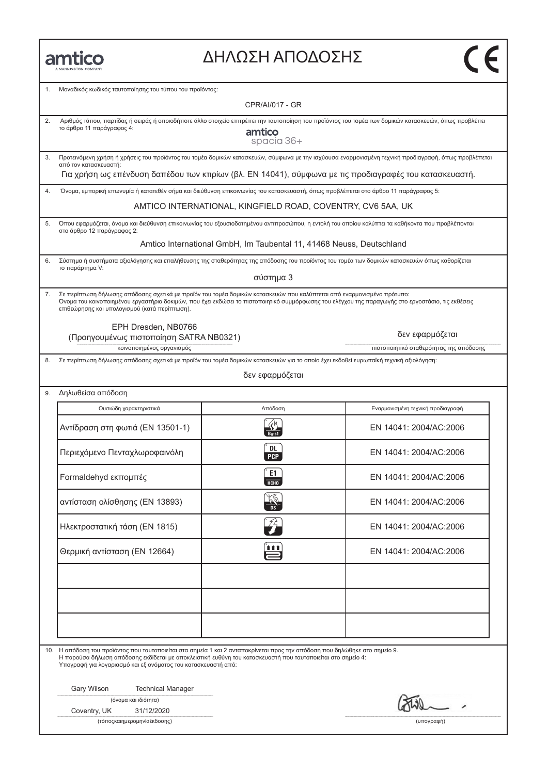| MANNINGTON COMPA |
|------------------|

## ΔΗΛΩΣΗ ΑΠΟΔΟΣΗΣ

| 1. | Μοναδικός κωδικός ταυτοποίησης του τύπου του προϊόντος:                                                                                                                                                                                                                                                     |                                                                      |                                                                                                                                                      |
|----|-------------------------------------------------------------------------------------------------------------------------------------------------------------------------------------------------------------------------------------------------------------------------------------------------------------|----------------------------------------------------------------------|------------------------------------------------------------------------------------------------------------------------------------------------------|
|    |                                                                                                                                                                                                                                                                                                             | CPR/AI/017 - GR                                                      |                                                                                                                                                      |
| 2. | Αριθμός τύπου, παρτίδας ή σειράς ή οποιοδήποτε άλλο στοιχείο επιτρέπει την ταυτοποίηση του προϊόντος του τομέα των δομικών κατασκευών, όπως προβλέπει<br>το άρθρο 11 παράγραφος 4:<br>amtico<br>spacia 36+                                                                                                  |                                                                      |                                                                                                                                                      |
| 3. | από τον κατασκευαστή:                                                                                                                                                                                                                                                                                       |                                                                      | Προτεινόμενη χρήση ή χρήσεις του προϊόντος του τομέα δομικών κατασκευών, σύμφωνα με την ισχύουσα εναρμονισμένη τεχνική προδιαγραφή, όπως προβλέπεται |
|    |                                                                                                                                                                                                                                                                                                             |                                                                      | Για χρήση ως επένδυση δαπέδου των κτιρίων (βλ. ΕΝ 14041), σύμφωνα με τις προδιαγραφές του κατασκευαστή.                                              |
| 4. | Όνομα, εμπορική επωνυμία ή κατατεθέν σήμα και διεύθυνση επικοινωνίας του κατασκευαστή, όπως προβλέπεται στο άρθρο 11 παράγραφος 5:                                                                                                                                                                          |                                                                      |                                                                                                                                                      |
|    |                                                                                                                                                                                                                                                                                                             | AMTICO INTERNATIONAL, KINGFIELD ROAD, COVENTRY, CV6 5AA, UK          |                                                                                                                                                      |
| 5. | στο άρθρο 12 παράγραφος 2:                                                                                                                                                                                                                                                                                  |                                                                      | Όπου εφαρμόζεται, όνομα και διεύθυνση επικοινωνίας του εξουσιοδοτημένου αντιπροσώπου, η εντολή του οποίου καλύπτει τα καθήκοντα που προβλέπονται     |
|    |                                                                                                                                                                                                                                                                                                             | Amtico International GmbH, Im Taubental 11, 41468 Neuss, Deutschland |                                                                                                                                                      |
| 6. | Σύστημα ή συστήματα αξιολόγησης και επαλήθευσης της σταθερότητας της απόδοσης του προϊόντος του τομέα των δομικών κατασκευών όπως καθορίζεται<br>το παράρτημα V:                                                                                                                                            |                                                                      |                                                                                                                                                      |
|    |                                                                                                                                                                                                                                                                                                             | σύστημα 3                                                            |                                                                                                                                                      |
| 7. | Σε περίπτωση δήλωσης απόδοσης σχετικά με προϊόν του τομέα δομικών κατασκευών που καλύπτεται από εναρμονισμένο πρότυπο:<br>επιθεώρησης και υπολογισμού (κατά περίπτωση).                                                                                                                                     |                                                                      | Όνομα του κοινοποιημένου εργαστήριο δοκιμών, που έχει εκδώσει το πιστοποιητικό συμμόρφωσης του ελέγχου της παραγωγής στο εργοστάσιο, τις εκθέσεις    |
|    | EPH Dresden. NB0766<br>(Προηγουμένως πιστοποίηση SATRA NB0321)                                                                                                                                                                                                                                              |                                                                      | δεν εφαρμόζεται                                                                                                                                      |
|    | κοινοποιημένος οργανισμός                                                                                                                                                                                                                                                                                   |                                                                      | πιστοποιητικό σταθερότητας της απόδοσης                                                                                                              |
| 8. | Σε περίπτωση δήλωσης απόδοσης σχετικά με προϊόν του τομέα δομικών κατασκευών για το οποίο έχει εκδοθεί ευρωπαϊκή τεχνική αξιολόγηση:                                                                                                                                                                        | δεν εφαρμόζεται                                                      |                                                                                                                                                      |
| 9. | Δηλωθείσα απόδοση                                                                                                                                                                                                                                                                                           |                                                                      |                                                                                                                                                      |
|    | Ουσιώδη χαρακτηριστικά                                                                                                                                                                                                                                                                                      | Απόδοση                                                              | Εναρμονισμένη τεχνική προδιαγραφή                                                                                                                    |
|    | Αντίδραση στη φωτιά (EN 13501-1)                                                                                                                                                                                                                                                                            |                                                                      | EN 14041: 2004/AC:2006                                                                                                                               |
|    | Περιεχόμενο Πενταχλωροφαινόλη                                                                                                                                                                                                                                                                               | DL<br><b>PCP</b>                                                     | EN 14041: 2004/AC:2006                                                                                                                               |
|    | Formaldehyd εκπομπές                                                                                                                                                                                                                                                                                        | E1<br><b>НСНО</b>                                                    | EN 14041: 2004/AC:2006                                                                                                                               |
|    | αντίσταση ολίσθησης (EN 13893)                                                                                                                                                                                                                                                                              | ్య<br>DS                                                             | EN 14041: 2004/AC:2006                                                                                                                               |
|    | Ηλεκτροστατική τάση (EN 1815)                                                                                                                                                                                                                                                                               | Ź4                                                                   | EN 14041: 2004/AC:2006                                                                                                                               |
|    | 自自自<br>Θερμική αντίσταση (EN 12664)                                                                                                                                                                                                                                                                         |                                                                      | EN 14041: 2004/AC:2006                                                                                                                               |
|    |                                                                                                                                                                                                                                                                                                             |                                                                      |                                                                                                                                                      |
|    |                                                                                                                                                                                                                                                                                                             |                                                                      |                                                                                                                                                      |
|    |                                                                                                                                                                                                                                                                                                             |                                                                      |                                                                                                                                                      |
|    | 10. Η απόδοση του προϊόντος που ταυτοποιείται στα σημεία 1 και 2 ανταποκρίνεται προς την απόδοση που δηλώθηκε στο σημείο 9.<br>Η παρούσα δήλωση απόδοσης εκδίδεται με αποκλειστική ευθύνη του κατασκευαστή που ταυτοποιείται στο σημείο 4:<br>Υπογραφή για λογαριασμό και εξ ονόματος του κατασκευαστή από: |                                                                      |                                                                                                                                                      |
|    | Gary Wilson<br><b>Technical Manager</b>                                                                                                                                                                                                                                                                     |                                                                      |                                                                                                                                                      |
|    | (όνομα και ιδιότητα)<br>31/12/2020<br>Coventry, UK                                                                                                                                                                                                                                                          |                                                                      |                                                                                                                                                      |
|    | (τόποςκαιημερομηνία έκδοσης)                                                                                                                                                                                                                                                                                |                                                                      | (υπογραφή)                                                                                                                                           |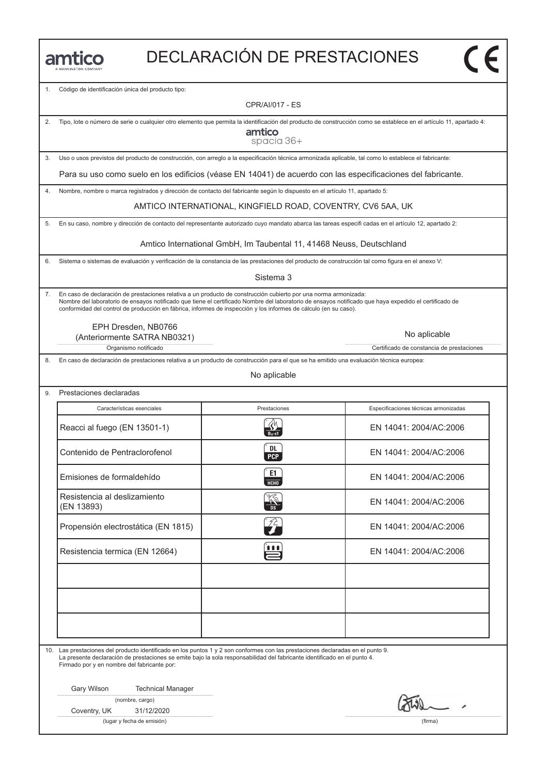| n. |  | ALAMAINICTOM COMPANIV |  |
|----|--|-----------------------|--|

# DECLARACIÓN DE PRESTACIONES

1. Código de identificación única del producto tipo:

CPR/AI/017 - ES

| 2. |                                                                                                                                                                                | Tipo, lote o número de serie o cualquier otro elemento que permita la identificación del producto de construcción como se establece en el artículo 11, apartado 4:<br>amtico<br>spacia 36+                                                                                                                                                                                                     |                                           |
|----|--------------------------------------------------------------------------------------------------------------------------------------------------------------------------------|------------------------------------------------------------------------------------------------------------------------------------------------------------------------------------------------------------------------------------------------------------------------------------------------------------------------------------------------------------------------------------------------|-------------------------------------------|
| 3. | Uso o usos previstos del producto de construcción, con arreglo a la especificación técnica armonizada aplicable, tal como lo establece el fabricante:                          |                                                                                                                                                                                                                                                                                                                                                                                                |                                           |
|    | Para su uso como suelo en los edificios (véase EN 14041) de acuerdo con las especificaciones del fabricante.                                                                   |                                                                                                                                                                                                                                                                                                                                                                                                |                                           |
| 4. |                                                                                                                                                                                | Nombre, nombre o marca registrados y dirección de contacto del fabricante según lo dispuesto en el artículo 11, apartado 5:                                                                                                                                                                                                                                                                    |                                           |
|    |                                                                                                                                                                                | AMTICO INTERNATIONAL, KINGFIELD ROAD, COVENTRY, CV6 5AA, UK                                                                                                                                                                                                                                                                                                                                    |                                           |
| 5. |                                                                                                                                                                                | En su caso, nombre y dirección de contacto del representante autorizado cuyo mandato abarca las tareas especifi cadas en el artículo 12, apartado 2:                                                                                                                                                                                                                                           |                                           |
|    |                                                                                                                                                                                | Amtico International GmbH, Im Taubental 11, 41468 Neuss, Deutschland                                                                                                                                                                                                                                                                                                                           |                                           |
| 6. |                                                                                                                                                                                | Sistema o sistemas de evaluación y verificación de la constancia de las prestaciones del producto de construcción tal como figura en el anexo V:                                                                                                                                                                                                                                               |                                           |
|    |                                                                                                                                                                                | Sistema 3                                                                                                                                                                                                                                                                                                                                                                                      |                                           |
| 7. |                                                                                                                                                                                | En caso de declaración de prestaciones relativa a un producto de construcción cubierto por una norma armonizada:<br>Nombre del laboratorio de ensayos notificado que tiene el certificado Nombre del laboratorio de ensayos notificado que haya expedido el certificado de<br>conformidad del control de producción en fábrica, informes de inspección y los informes de cálculo (en su caso). |                                           |
|    | EPH Dresden, NB0766<br>(Anteriormente SATRA NB0321)                                                                                                                            |                                                                                                                                                                                                                                                                                                                                                                                                | No aplicable                              |
|    | Organismo notificado                                                                                                                                                           |                                                                                                                                                                                                                                                                                                                                                                                                | Certificado de constancia de prestaciones |
| 8. |                                                                                                                                                                                | En caso de declaración de prestaciones relativa a un producto de construcción para el que se ha emitido una evaluación técnica europea:                                                                                                                                                                                                                                                        |                                           |
|    |                                                                                                                                                                                | No aplicable                                                                                                                                                                                                                                                                                                                                                                                   |                                           |
| 9. | Prestaciones declaradas                                                                                                                                                        |                                                                                                                                                                                                                                                                                                                                                                                                |                                           |
|    | Características esenciales                                                                                                                                                     | Prestaciones                                                                                                                                                                                                                                                                                                                                                                                   | Especificaciones técnicas armonizadas     |
|    | Reacci al fuego (EN 13501-1)                                                                                                                                                   | $B_{11}$ -s1                                                                                                                                                                                                                                                                                                                                                                                   | EN 14041: 2004/AC:2006                    |
|    | Contenido de Pentraclorofenol                                                                                                                                                  | DL<br><b>PCP</b>                                                                                                                                                                                                                                                                                                                                                                               | EN 14041: 2004/AC:2006                    |
|    | Emisiones de formaldehído                                                                                                                                                      | E1<br>НСНО                                                                                                                                                                                                                                                                                                                                                                                     | EN 14041: 2004/AC:2006                    |
|    | Resistencia al deslizamiento<br>(EN 13893)                                                                                                                                     |                                                                                                                                                                                                                                                                                                                                                                                                | EN 14041: 2004/AC:2006                    |
|    | Propensión electrostática (EN 1815)                                                                                                                                            | 72                                                                                                                                                                                                                                                                                                                                                                                             | EN 14041: 2004/AC:2006                    |
|    | Resistencia termica (EN 12664)                                                                                                                                                 | 自自自                                                                                                                                                                                                                                                                                                                                                                                            | EN 14041: 2004/AC:2006                    |
|    |                                                                                                                                                                                |                                                                                                                                                                                                                                                                                                                                                                                                |                                           |
|    |                                                                                                                                                                                |                                                                                                                                                                                                                                                                                                                                                                                                |                                           |
|    |                                                                                                                                                                                |                                                                                                                                                                                                                                                                                                                                                                                                |                                           |
|    | 10. Las prestaciones del producto identificado en los puntos 1 y 2 son conformes con las prestaciones declaradas en el punto 9.<br>Firmado por y en nombre del fabricante por: | La presente declaración de prestaciones se emite bajo la sola responsabilidad del fabricante identificado en el punto 4.                                                                                                                                                                                                                                                                       |                                           |
|    | Gary Wilson<br><b>Technical Manager</b>                                                                                                                                        |                                                                                                                                                                                                                                                                                                                                                                                                |                                           |
|    | (nombre, cargo)                                                                                                                                                                |                                                                                                                                                                                                                                                                                                                                                                                                |                                           |
|    | Coventry, UK<br>31/12/2020<br>(lugar y fecha de emisión)                                                                                                                       |                                                                                                                                                                                                                                                                                                                                                                                                | (firma)                                   |
|    |                                                                                                                                                                                |                                                                                                                                                                                                                                                                                                                                                                                                |                                           |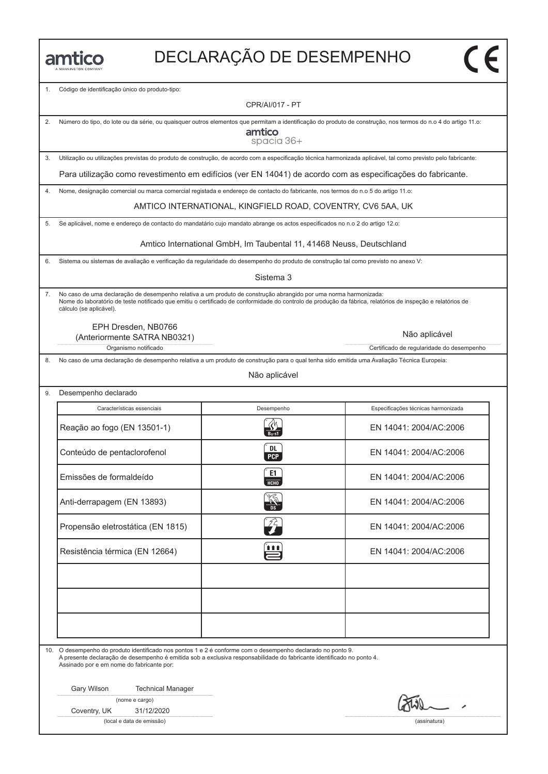# DECLARAҪÃO DE DESEMPENHO

1. Código de identificação único do produto-tipo:

CPR/AI/017 - PT

| 2. | Número do tipo, do lote ou da série, ou quaisquer outros elementos que permitam a identificação do produto de construção, nos termos do n.o 4 do artigo 11.o:<br>amtico<br>spacia 36+ |                                                                                                                                                                                                                                                                                 |                                                            |  |
|----|---------------------------------------------------------------------------------------------------------------------------------------------------------------------------------------|---------------------------------------------------------------------------------------------------------------------------------------------------------------------------------------------------------------------------------------------------------------------------------|------------------------------------------------------------|--|
| 3. | Utilização ou utilizações previstas do produto de construção, de acordo com a especificação técnica harmonizada aplicável, tal como previsto pelo fabricante:                         |                                                                                                                                                                                                                                                                                 |                                                            |  |
|    | Para utilização como revestimento em edifícios (ver EN 14041) de acordo com as especificações do fabricante.                                                                          |                                                                                                                                                                                                                                                                                 |                                                            |  |
| 4. |                                                                                                                                                                                       | Nome, designação comercial ou marca comercial registada e endereço de contacto do fabricante, nos termos do n.o 5 do artigo 11.o:                                                                                                                                               |                                                            |  |
|    |                                                                                                                                                                                       | AMTICO INTERNATIONAL, KINGFIELD ROAD, COVENTRY, CV6 5AA, UK                                                                                                                                                                                                                     |                                                            |  |
| 5. |                                                                                                                                                                                       | Se aplicável, nome e endereço de contacto do mandatário cujo mandato abrange os actos especificados no n.o 2 do artigo 12.o:                                                                                                                                                    |                                                            |  |
|    |                                                                                                                                                                                       | Amtico International GmbH, Im Taubental 11, 41468 Neuss, Deutschland                                                                                                                                                                                                            |                                                            |  |
| 6. |                                                                                                                                                                                       | Sistema ou sistemas de avaliação e verificação da regularidade do desempenho do produto de construção tal como previsto no anexo V:                                                                                                                                             |                                                            |  |
|    |                                                                                                                                                                                       | Sistema 3                                                                                                                                                                                                                                                                       |                                                            |  |
| 7. | cálculo (se aplicável).                                                                                                                                                               | No caso de uma declaração de desempenho relativa a um produto de construção abrangido por uma norma harmonizada:<br>Nome do laboratório de teste notificado que emitiu o certificado de conformidade do controlo de produção da fábrica, relatórios de inspeção e relatórios de |                                                            |  |
|    | EPH Dresden, NB0766<br>(Anteriormente SATRA NB0321)<br>Organismo notificado                                                                                                           |                                                                                                                                                                                                                                                                                 | Não aplicável<br>Certificado de regularidade do desempenho |  |
| 8. |                                                                                                                                                                                       | No caso de uma declaração de desempenho relativa a um produto de construção para o qual tenha sido emitida uma Avaliação Técnica Europeia:                                                                                                                                      |                                                            |  |
|    |                                                                                                                                                                                       | Não aplicável                                                                                                                                                                                                                                                                   |                                                            |  |
| 9. | Desempenho declarado                                                                                                                                                                  |                                                                                                                                                                                                                                                                                 |                                                            |  |
|    | Características essenciais                                                                                                                                                            | Desempenho                                                                                                                                                                                                                                                                      | Especificações técnicas harmonizada                        |  |
|    | Reação ao fogo (EN 13501-1)                                                                                                                                                           |                                                                                                                                                                                                                                                                                 | EN 14041: 2004/AC:2006                                     |  |
|    | Conteúdo de pentaclorofenol                                                                                                                                                           | DL<br><b>PCP</b>                                                                                                                                                                                                                                                                | EN 14041: 2004/AC:2006                                     |  |
|    | Emissões de formaldeído                                                                                                                                                               | E1<br><b>HCHO</b>                                                                                                                                                                                                                                                               | EN 14041: 2004/AC:2006                                     |  |
|    | Anti-derrapagem (EN 13893)                                                                                                                                                            |                                                                                                                                                                                                                                                                                 | EN 14041: 2004/AC:2006                                     |  |
|    | Propensão eletrostática (EN 1815)                                                                                                                                                     | $\mathcal{F}$                                                                                                                                                                                                                                                                   | EN 14041: 2004/AC:2006                                     |  |
|    | Resistência térmica (EN 12664)                                                                                                                                                        | 111                                                                                                                                                                                                                                                                             | EN 14041: 2004/AC:2006                                     |  |
|    |                                                                                                                                                                                       |                                                                                                                                                                                                                                                                                 |                                                            |  |
|    | 10. O desempenho do produto identificado nos pontos 1 e 2 é conforme com o desempenho declarado no ponto 9.<br>Assinado por e em nome do fabricante por:                              | A presente declaração de desempenho é emitida sob a exclusiva responsabilidade do fabricante identificado no ponto 4.                                                                                                                                                           |                                                            |  |
|    | Gary Wilson<br><b>Technical Manager</b>                                                                                                                                               |                                                                                                                                                                                                                                                                                 |                                                            |  |
|    | (nome e cargo)<br>Coventry, UK<br>31/12/2020                                                                                                                                          |                                                                                                                                                                                                                                                                                 |                                                            |  |
|    | (local e data de emissão)                                                                                                                                                             |                                                                                                                                                                                                                                                                                 | (assinatura)                                               |  |
|    |                                                                                                                                                                                       |                                                                                                                                                                                                                                                                                 |                                                            |  |
|    |                                                                                                                                                                                       |                                                                                                                                                                                                                                                                                 |                                                            |  |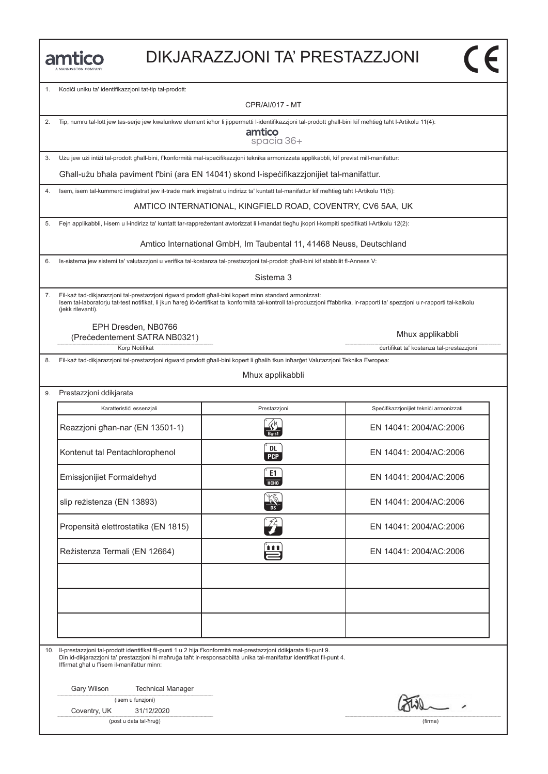| MANNINGTON COMPANY |  |
|--------------------|--|

#### DIKJARAZZJONI TA' PRESTAZZJONI

1. Kodići uniku ta' identifikazzjoni tat-tip tal-prodott:

CPR/AI/017 - MT

2. Tip, numru tal-lott jew tas-serje jew kwalunkwe element ieħor li jippermetti l-identifikazzjoni tal-prodott għall-bini kif meħtieġ taħt l-Artikolu 11(4):

amtico spacia 36+

3. Użu jew użi intiżi tal-prodott għall-bini, f'konformità mal-ispeċifikazzjoni teknika armonizzata applikabbli, kif previst mill-manifattur:

Għall-użu bħala paviment f'bini (ara EN 14041) skond l-ispeċifikazzjonijiet tal-manifattur.

4. Isem, isem tal-kummerċ irreġistrat jew it-trade mark irreġistrat u indirizz ta' kuntatt tal-manifattur kif meħtieġ taħt l-Artikolu 11(5):

AMTICO INTERNATIONAL, KINGFIELD ROAD, COVENTRY, CV6 5AA, UK

5. Fejn applikabbli, l-isem u l-indirizz ta' kuntatt tar-rappreżentant awtorizzat li l-mandat tiegħu jkopri l-kompiti speċifikati l-Artikolu 12(2):

Amtico International GmbH, Im Taubental 11, 41468 Neuss, Deutschland

6. Is-sistema jew sistemi ta' valutazzjoni u verifika tal-kostanza tal-prestazzjoni tal-prodott għall-bini kif stabbilit fl-Anness V:

Sistema 3

7. Fil-każ tad-dikjarazzjoni tal-prestazzjoni rigward prodott għall-bini kopert minn standard armonizzat: Isem tal-laboratorju tat-test notifikat, li jkun ħareġ iċ-ċertifikat ta 'konformità tal-kontroll tal-produzzjoni f'fabbrika, ir-rapporti ta' spezzjoni u r-rapporti tal-kalkolu (jekk rilevanti).

EPH Dresden, NB0766 (Preċedentement SATRA NB0321)

Mhux applikabbli

 $\overline{\mathsf{c}\mathsf{c}}$ 

Korp Notifikat **in the set of the set of the set of the set of the set of the set of the set of the set of the set of the set of the set of the set of the set of the set of the set of the set of the set of the set of the s** 

9. Prestazzjoni ddikjarata

8. Fil-każ tad-dikjarazzjoni tal-prestazzjoni rigward prodott għall-bini kopert li għalih tkun inħarġet Valutazzjoni Teknika Ewropea:

#### Mhux applikabbli

| Karatterističi essenzjali           | Prestazzjoni      | Specifikazzjonijiet teknici armonizzati |
|-------------------------------------|-------------------|-----------------------------------------|
| Reazzjoni għan-nar (EN 13501-1)     |                   | EN 14041: 2004/AC:2006                  |
| Kontenut tal Pentachlorophenol      | DL.<br><b>PCP</b> | EN 14041: 2004/AC:2006                  |
| Emissjonijiet Formaldehyd           | E1<br><b>НСНО</b> | EN 14041: 2004/AC:2006                  |
| slip reżistenza (EN 13893)          |                   | EN 14041: 2004/AC:2006                  |
| Propensità elettrostatika (EN 1815) | $\mathcal{L}$     | EN 14041: 2004/AC:2006                  |
| Reżistenza Termali (EN 12664)       | Ë                 | EN 14041: 2004/AC:2006                  |
|                                     |                   |                                         |
|                                     |                   |                                         |
|                                     |                   |                                         |

10. Il-prestazzjoni tal-prodott identifikat fil-punti 1 u 2 hija f'konformità mal-prestazzjoni ddikjarata fil-punt 9.

Din id-dikjarazzjoni ta' prestazzjoni hi maħruġa taħt ir-responsabbiltà unika tal-manifattur identifikat fil-punt 4. Iffirmat għal u f'isem il-manifattur minn:

Gary Wilson Technical Manager

(isem u funzjoni)

Coventry, UK 31/12/2020

(post u data tal-ħruġ) (firma)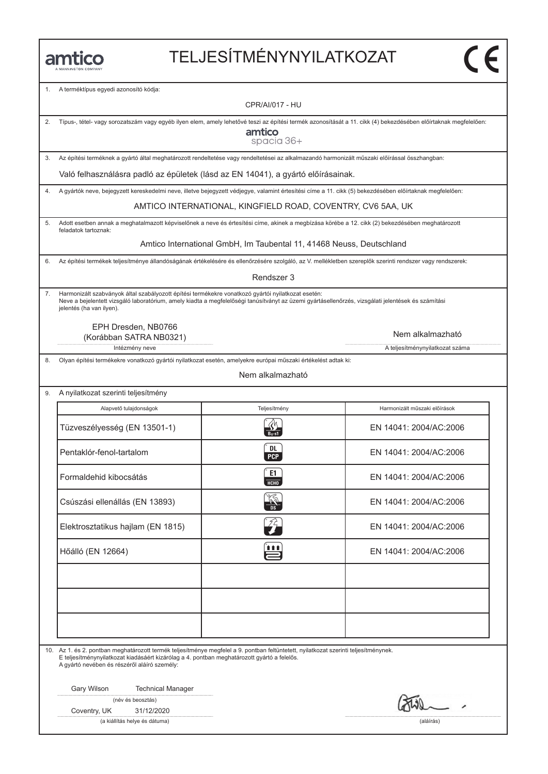# TELJESÍTMÉNYNYILATKOZAT

1. A terméktípus egyedi azonosító kódja:

CPR/AI/017 - HU

| 2. | Típus-, tétel- vagy sorozatszám vagy egyéb ilyen elem, amely lehetővé teszi az építési termék azonosítását a 11. cikk (4) bekezdésében előírtaknak megfelelően:<br>amtico<br>spacia 36+                                                                                             |                                                                                                                                                          |                                 |  |
|----|-------------------------------------------------------------------------------------------------------------------------------------------------------------------------------------------------------------------------------------------------------------------------------------|----------------------------------------------------------------------------------------------------------------------------------------------------------|---------------------------------|--|
| 3. | Az építési terméknek a gyártó által meghatározott rendeltetése vagy rendeltetései az alkalmazandó harmonizált műszaki előírással összhangban:                                                                                                                                       |                                                                                                                                                          |                                 |  |
|    | Való felhasználásra padló az épületek (lásd az EN 14041), a gyártó előírásainak.                                                                                                                                                                                                    |                                                                                                                                                          |                                 |  |
| 4. |                                                                                                                                                                                                                                                                                     | A gyártók neve, bejegyzett kereskedelmi neve, illetve bejegyzett védjegye, valamint értesítési címe a 11. cikk (5) bekezdésében előírtaknak megfelelően: |                                 |  |
|    |                                                                                                                                                                                                                                                                                     | AMTICO INTERNATIONAL, KINGFIELD ROAD, COVENTRY, CV6 5AA, UK                                                                                              |                                 |  |
| 5. |                                                                                                                                                                                                                                                                                     | Adott esetben annak a meghatalmazott képviselőnek a neve és értesítési címe, akinek a megbízása körébe a 12. cikk (2) bekezdésében meghatározott         |                                 |  |
|    | feladatok tartoznak:                                                                                                                                                                                                                                                                |                                                                                                                                                          |                                 |  |
|    |                                                                                                                                                                                                                                                                                     | Amtico International GmbH, Im Taubental 11, 41468 Neuss, Deutschland                                                                                     |                                 |  |
| 6. |                                                                                                                                                                                                                                                                                     | Az építési termékek teljesítménye állandóságának értékelésére és ellenőrzésére szolgáló, az V. mellékletben szereplők szerinti rendszer vagy rendszerek: |                                 |  |
|    |                                                                                                                                                                                                                                                                                     | Rendszer 3                                                                                                                                               |                                 |  |
| 7. | Harmonizált szabványok által szabályozott építési termékekre vonatkozó gyártói nyilatkozat esetén:<br>jelentés (ha van ilyen).<br>EPH Dresden, NB0766                                                                                                                               | Neve a bejelentett vizsgáló laboratórium, amely kiadta a megfelelőségi tanúsítványt az üzemi gyártásellenőrzés, vizsgálati jelentések és számítási       |                                 |  |
|    | (Korábban SATRA NB0321)                                                                                                                                                                                                                                                             |                                                                                                                                                          | Nem alkalmazható                |  |
|    | Intézmény neve                                                                                                                                                                                                                                                                      |                                                                                                                                                          | A teljesítménynyilatkozat száma |  |
| 8. |                                                                                                                                                                                                                                                                                     | Olyan építési termékekre vonatkozó gyártói nyilatkozat esetén, amelyekre európai műszaki értékelést adtak ki:                                            |                                 |  |
|    |                                                                                                                                                                                                                                                                                     | Nem alkalmazható                                                                                                                                         |                                 |  |
| 9. | A nyilatkozat szerinti teljesítmény                                                                                                                                                                                                                                                 |                                                                                                                                                          |                                 |  |
|    | Alapvető tulajdonságok                                                                                                                                                                                                                                                              | Teljesítmény                                                                                                                                             | Harmonizált műszaki előírások   |  |
|    | Tüzveszélyesség (EN 13501-1)                                                                                                                                                                                                                                                        |                                                                                                                                                          | EN 14041: 2004/AC:2006          |  |
|    | Pentaklór-fenol-tartalom                                                                                                                                                                                                                                                            | DL<br>PCP                                                                                                                                                | EN 14041: 2004/AC:2006          |  |
|    | Formaldehid kibocsátás                                                                                                                                                                                                                                                              | E1<br>НСНО                                                                                                                                               | EN 14041: 2004/AC:2006          |  |
|    | Csúszási ellenállás (EN 13893)                                                                                                                                                                                                                                                      |                                                                                                                                                          | EN 14041: 2004/AC:2006          |  |
|    | Elektrosztatikus hajlam (EN 1815)                                                                                                                                                                                                                                                   | 7È,                                                                                                                                                      | EN 14041: 2004/AC:2006          |  |
|    | Hőálló (EN 12664)                                                                                                                                                                                                                                                                   | 自自自                                                                                                                                                      | EN 14041: 2004/AC:2006          |  |
|    |                                                                                                                                                                                                                                                                                     |                                                                                                                                                          |                                 |  |
|    |                                                                                                                                                                                                                                                                                     |                                                                                                                                                          |                                 |  |
|    | 10. Az 1. és 2. pontban meghatározott termék teljesítménye megfelel a 9. pontban feltüntetett, nyilatkozat szerinti teljesítménynek.<br>E teljesítménynyilatkozat kiadásáért kizárólag a 4. pontban meghatározott gyártó a felelős.<br>A gyártó nevében és részéről aláíró személy: |                                                                                                                                                          |                                 |  |
|    | Gary Wilson<br><b>Technical Manager</b>                                                                                                                                                                                                                                             |                                                                                                                                                          |                                 |  |
|    | (név és beosztás)                                                                                                                                                                                                                                                                   |                                                                                                                                                          |                                 |  |
|    | 31/12/2020<br>Coventry, UK                                                                                                                                                                                                                                                          |                                                                                                                                                          |                                 |  |
|    | (a kiállítás helye és dátuma)                                                                                                                                                                                                                                                       | (aláírás)                                                                                                                                                |                                 |  |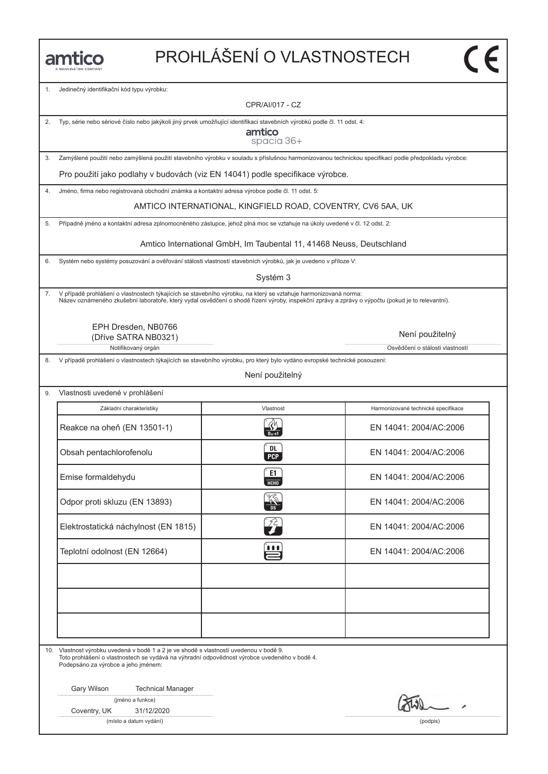# PROHLÁŠENÍ O VLASTNOSTECH

1. Jedinečný identifikační kód typu výrobku:

CPR/AI/017 - CZ

2. Typ, série nebo sériové číslo nebo jakýkoli jiný prvek umožňující identifikaci stavebních výrobků podle čl. 11 odst. 4:

amtico spacia 36+

3. Zamýšlené použití nebo zamýšlená použití stavebního výrobku v souladu s příslušnou harmonizovanou technickou specifikací podle předpokladu výrobce:

Pro použití jako podlahy v budovách (viz EN 14041) podle specifikace výrobce.

4. Jméno, firma nebo registrovaná obchodní známka a kontaktní adresa výrobce podle čl. 11 odst. 5:

AMTICO INTERNATIONAL, KINGFIELD ROAD, COVENTRY, CV6 5AA, UK

5. Případně jméno a kontaktní adresa zplnomocněného zástupce, jehož plná moc se vztahuje na úkoly uvedené v čl. 12 odst. 2:

Amtico International GmbH, Im Taubental 11, 41468 Neuss, Deutschland

6. Systém nebo systémy posuzování a ověřování stálosti vlastností stavebních výrobků, jak je uvedeno v příloze V:

Systém 3

7. V případě prohlášení o vlastnostech týkajících se stavebního výrobku, na který se vztahuje harmonizovaná norma: Název oznámeného zkušební laboratoře, který vydal osvědčení o shodě řízení výroby, inspekční zprávy a zprávy o výpočtu (pokud je to relevantní).

> EPH Dresden, NB0766 (Dříve SATRA NB0321)

> > Notifikovaný orgán **Osvědčení o stálosti vlastností vlastností vlastností vlastností vlastností vlastností vlastností vlastností vlastností vlastností vlastností vlastností vlastností vlastností vlastností vlastností vlast**

8. V případě prohlášení o vlastnostech týkajících se stavebního výrobku, pro který bylo vydáno evropské technické posouzení:

Není použitelný

9. Vlastnosti uvedené v prohlášení

| Základní charakteristiky             | Vlastnost        | Harmonizované technické specifikace |
|--------------------------------------|------------------|-------------------------------------|
| Reakce na oheň (EN 13501-1)          |                  | EN 14041: 2004/AC:2006              |
| Obsah pentachlorofenolu              | DL<br><b>PCP</b> | EN 14041: 2004/AC:2006              |
| Emise formaldehydu                   | E1<br>HCHO       | EN 14041: 2004/AC:2006              |
| Odpor proti skluzu (EN 13893)        | <b>AND</b>       | EN 14041: 2004/AC:2006              |
| Elektrostatická náchylnost (EN 1815) | $\sqrt[3]{2}$    | EN 14041: 2004/AC:2006              |
| Teplotní odolnost (EN 12664)         | Ë                | EN 14041: 2004/AC:2006              |
|                                      |                  |                                     |
|                                      |                  |                                     |
|                                      |                  |                                     |

10. Vlastnost výrobku uvedená v bodě 1 a 2 je ve shodě s vlastností uvedenou v bodě 9. Toto prohlášení o vlastnostech se vydává na výhradní odpovědnost výrobce uvedeného v bodě 4.

Podepsáno za výrobce a jeho jménem:

Gary Wilson Technical Manager

(jméno a funkce)

Coventry, UK 31/12/2020

(místo a datum vydání) (podpis)

Není použitelný

 $\overline{\mathsf{c}\mathsf{c}}$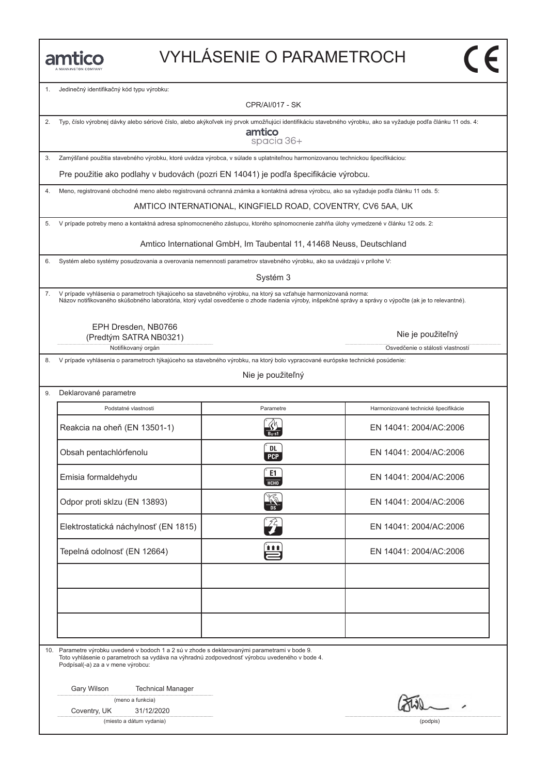## VYHLÁSENIE O PARAMETROCH

1. Jedinečný identifikačný kód typu výrobku:

CPR/AI/017 - SK

| 2. Typ, číslo výrobnej dávky alebo sériové číslo, alebo akýkoľvek iný prvok umožňujúci identifikáciu stavebného výrobku, ako sa vyžaduje podľa článku 11 ods. 4: |
|------------------------------------------------------------------------------------------------------------------------------------------------------------------|
|                                                                                                                                                                  |

amtico spacia 36+

3. Zamýšľané použitia stavebného výrobku, ktoré uvádza výrobca, v súlade s uplatniteľnou harmonizovanou technickou špecifikáciou:

Pre použitie ako podlahy v budovách (pozri EN 14041) je podľa špecifikácie výrobcu.

4. Meno, registrované obchodné meno alebo registrovaná ochranná známka a kontaktná adresa výrobcu, ako sa vyžaduje podľa článku 11 ods. 5:

AMTICO INTERNATIONAL, KINGFIELD ROAD, COVENTRY, CV6 5AA, UK

5. V prípade potreby meno a kontaktná adresa splnomocneného zástupcu, ktorého splnomocnenie zahŕňa úlohy vymedzené v článku 12 ods. 2:

Amtico International GmbH, Im Taubental 11, 41468 Neuss, Deutschland

6. Systém alebo systémy posudzovania a overovania nemennosti parametrov stavebného výrobku, ako sa uvádzajú v prílohe V:

Systém 3

7. V prípade vyhlásenia o parametroch týkajúceho sa stavebného výrobku, na ktorý sa vzťahuje harmonizovaná norma: Názov notifikovaného skúšobného laboratória, ktorý vydal osvedčenie o zhode riadenia výroby, inšpekčné správy a správy o výpočte (ak je to relevantné).

> EPH Dresden, NB0766 (Predtým SATRA NB0321)

Notifikovaný orgán **Osvetlandia** Osvetlánia od Osvetlánia od Osvetlánia od Osvetlánia o stálosti vlastností

8. V prípade vyhlásenia o parametroch týkajúceho sa stavebného výrobku, na ktorý bolo vypracované európske technické posúdenie:

Nie je použiteľný

9. Deklarované parametre Podstatné vlastnosti **Parametre** Harmonizované technické špecifikácie **Parametre** Harmonizované technické špecifikácie Podstatné vlastnosti Parametre Harmonizované technické špecifikácie<br>Reakcia na oheň (EN 13501-1) Reakcia na oheň (EN 13501-1) R EN 14041: 2004/AC:2006 Reakcia na oheň (EN 13501-1)<br>
Obsah pentachlórfenolu (EN 14041: 2004/AC:2006<br>
Obsah pentachlórfenolu (EN 14041: 2004/AC:2006 Emisia formaldehydu c EN 14041: 2004/AC:2006<br>Emisia formaldehydu c EN 14041: 2004/AC:2006 Emisia formaldehydu EN 14041: 2004/AC:2006<br>
Odpor proti sklzu (EN 13893)  $\frac{204}{100}$  EN 14041: 2004/AC:2006 Odpor proti skizu (EN 13893)<br>
Elektrostatická náchylnosť (EN 1815)<br>
Elektrostatická náchylnosť (EN 1815) Elektrostatická náchylnosť (EN 1815)<br>Tepelná odolnosť (EN 12664) en EN 14041: 2004/AC:2006

10. Parametre výrobku uvedené v bodoch 1 a 2 sú v zhode s deklarovanými parametrami v bode 9. Toto vyhlásenie o parametroch sa vydáva na výhradnú zodpovednosť výrobcu uvedeného v bode 4. Podpísal(-a) za a v mene výrobcu:

Gary Wilson Technical Manager

|  |  | (meno a funkcia) |
|--|--|------------------|
|--|--|------------------|

Coventry, UK 31/12/2020

(miesto a dátum vydania) (podpis)

Nie je použiteľný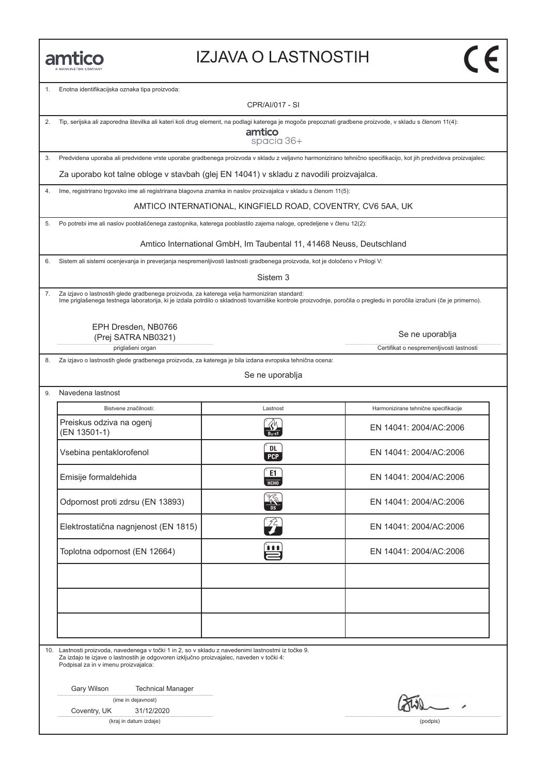#### IZJAVA O LASTNOSTIH

1. Enotna identifikacijska oznaka tipa proizvoda:

CPR/AI/017 - SI

2. Tip, serijska ali zaporedna številka ali kateri koli drug element, na podlagi katerega je mogoče prepoznati gradbene proizvode, v skladu s členom 11(4):

amtico spacia 36+

3. Predvidena uporaba ali predvidene vrste uporabe gradbenega proizvoda v skladu z veljavno harmonizirano tehnično specifikacijo, kot jih predvideva proizvajalec:

Za uporabo kot talne obloge v stavbah (glej EN 14041) v skladu z navodili proizvajalca.

4. Ime, registrirano trgovsko ime ali registrirana blagovna znamka in naslov proizvajalca v skladu s členom 11(5):

AMTICO INTERNATIONAL, KINGFIELD ROAD, COVENTRY, CV6 5AA, UK

5. Po potrebi ime ali naslov pooblaščenega zastopnika, katerega pooblastilo zajema naloge, opredeljene v členu 12(2):

Amtico International GmbH, Im Taubental 11, 41468 Neuss, Deutschland

6. Sistem ali sistemi ocenjevanja in preverjanja nespremenljivosti lastnosti gradbenega proizvoda, kot je določeno v Prilogi V:

Sistem 3

7. Za izjavo o lastnostih glede gradbenega proizvoda, za katerega velja harmoniziran standard:<br>Ime priglašenega testnega laboratorija, ki je izdala potrdilo o skladnosti tovarniške kontrole proizvodnje, poročila o pregledu

EPH Dresden, NB0766 (Prej SATRA NB0321)

priglašeni organ **Certifikat o nespremenljivosti lastnosti** Certifikat o nespremenljivosti lastnosti

8. Za izjavo o lastnostih glede gradbenega proizvoda, za katerega je bila izdana evropska tehnična ocena:

Se ne uporablja

9. Navedena lastnost

| Bistvene značilnosti:                    | Lastnost                   | Harmonizirane tehnične specifikacije |
|------------------------------------------|----------------------------|--------------------------------------|
| Preiskus odziva na ogenj<br>(EN 13501-1) |                            | EN 14041: 2004/AC:2006               |
| Vsebina pentaklorofenol                  | DL<br><b>PCP</b>           | EN 14041: 2004/AC:2006               |
| Emisije formaldehida                     | E1<br>HCHO                 | EN 14041: 2004/AC:2006               |
| Odpornost proti zdrsu (EN 13893)         | <b>AND</b>                 | EN 14041: 2004/AC:2006               |
| Elektrostatična nagnjenost (EN 1815)     | $\mathcal{Z}_{\mathbf{r}}$ | EN 14041: 2004/AC:2006               |
| Toplotna odpornost (EN 12664)            | ₩                          | EN 14041: 2004/AC:2006               |
|                                          |                            |                                      |
|                                          |                            |                                      |
|                                          |                            |                                      |

10. Lastnosti proizvoda, navedenega v točki 1 in 2, so v skladu z navedenimi lastnostmi iz točke 9. Za izdajo te izjave o lastnostih je odgovoren izključno proizvajalec, naveden v točki 4: Podpisal za in v imenu proizvajalca:

Gary Wilson Technical Manager

|  | (ime in dejavnost) |
|--|--------------------|
|  |                    |

Coventry, UK 31/12/2020

(kraj in datum izdaje) (podpis)

Se ne uporablja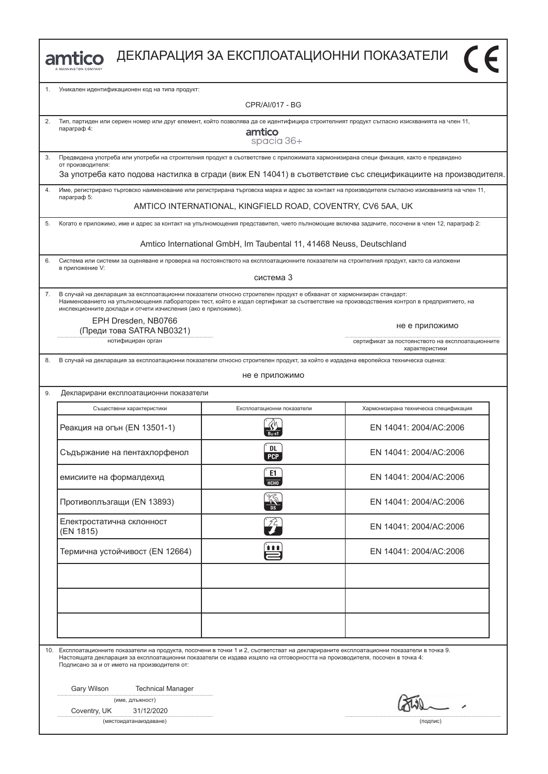| <b>amtico</b> ДЕКЛАРАЦИЯ ЗА ЕКСПЛОАТАЦИОННИ ПОКАЗАТЕЛИ |
|--------------------------------------------------------|
|                                                        |



| 1. | Уникален идентификационен код на типа продукт:                                                                                                                                            |                                                                                                                                                                                                                                                                   |                                                                                                              |  |
|----|-------------------------------------------------------------------------------------------------------------------------------------------------------------------------------------------|-------------------------------------------------------------------------------------------------------------------------------------------------------------------------------------------------------------------------------------------------------------------|--------------------------------------------------------------------------------------------------------------|--|
|    | CPR/AI/017 - BG                                                                                                                                                                           |                                                                                                                                                                                                                                                                   |                                                                                                              |  |
| 2. | Тип, партиден или сериен номер или друг елемент, който позволява да се идентифицира строителният продукт съгласно изискванията на член 11,<br>параграф 4:<br>amtico<br>spacia 36+         |                                                                                                                                                                                                                                                                   |                                                                                                              |  |
| 3. | от производителя:                                                                                                                                                                         | Предвидена употреба или употреби на строителния продукт в съответствие с приложимата хармонизирана специ фикация, както е предвидено                                                                                                                              |                                                                                                              |  |
|    |                                                                                                                                                                                           |                                                                                                                                                                                                                                                                   | За употреба като подова настилка в сгради (виж EN 14041) в съответствие със спецификациите на производителя. |  |
| 4. | параграф 5:                                                                                                                                                                               | Име, регистрирано търговско наименование или регистрирана търговска марка и адрес за контакт на производителя съгласно изискванията на член 11,                                                                                                                   |                                                                                                              |  |
|    |                                                                                                                                                                                           | AMTICO INTERNATIONAL, KINGFIELD ROAD, COVENTRY, CV6 5AA, UK                                                                                                                                                                                                       |                                                                                                              |  |
| 5. |                                                                                                                                                                                           | Когато е приложимо, име и адрес за контакт на упълномощения представител, чието пълномощие включва задачите, посочени в член 12, параграф 2:                                                                                                                      |                                                                                                              |  |
|    |                                                                                                                                                                                           | Amtico International GmbH, Im Taubental 11, 41468 Neuss, Deutschland                                                                                                                                                                                              |                                                                                                              |  |
| 6. | в приложение V:                                                                                                                                                                           | Система или системи за оценяване и проверка на постоянството на експлоатационните показатели на строителния продукт, както са изложени                                                                                                                            |                                                                                                              |  |
|    |                                                                                                                                                                                           | система 3                                                                                                                                                                                                                                                         |                                                                                                              |  |
| 7. | инспекционните доклади и отчети изчисления (ако е приложимо).                                                                                                                             | В случай на декларация за експлоатационни показатели относно строителен продукт е обхванат от хармонизиран стандарт:<br>Наименованието на упълномощения лабораторен тест, който е издал сертификат за съответствие на производствения контрол в предприятието, на |                                                                                                              |  |
|    | EPH Dresden, NB0766<br>(Преди това SATRA NB0321)                                                                                                                                          |                                                                                                                                                                                                                                                                   | не е приложимо                                                                                               |  |
|    | нотифициран орган                                                                                                                                                                         |                                                                                                                                                                                                                                                                   | сертификат за постоянството на експлоатационните<br>характеристики                                           |  |
| 8. |                                                                                                                                                                                           | В случай на декларация за експлоатационни показатели относно строителен продукт, за който е издадена европейска техническа оценка:                                                                                                                                |                                                                                                              |  |
|    |                                                                                                                                                                                           | не е приложимо                                                                                                                                                                                                                                                    |                                                                                                              |  |
| 9. | Декларирани експлоатационни показатели                                                                                                                                                    |                                                                                                                                                                                                                                                                   |                                                                                                              |  |
|    | Съществени характеристики                                                                                                                                                                 | Експлоатационни показатели                                                                                                                                                                                                                                        | Хармонизирана техническа спецификация                                                                        |  |
|    | Реакция на огън (EN 13501-1)                                                                                                                                                              |                                                                                                                                                                                                                                                                   | EN 14041: 2004/AC:2006                                                                                       |  |
|    | Съдържание на пентахлорфенол                                                                                                                                                              | DL<br><b>PCP</b>                                                                                                                                                                                                                                                  | EN 14041: 2004/AC:2006                                                                                       |  |
|    | емисиите на формалдехид                                                                                                                                                                   | E1.<br><b>HCHO</b>                                                                                                                                                                                                                                                | EN 14041: 2004/AC:2006                                                                                       |  |
|    | Противоплъзгащи (EN 13893)                                                                                                                                                                |                                                                                                                                                                                                                                                                   | EN 14041: 2004/AC:2006                                                                                       |  |
|    | Електростатична склонност<br>(EN 1815)                                                                                                                                                    |                                                                                                                                                                                                                                                                   | EN 14041: 2004/AC:2006                                                                                       |  |
|    | Термична устойчивост (EN 12664)                                                                                                                                                           | 自自自                                                                                                                                                                                                                                                               | EN 14041: 2004/AC:2006                                                                                       |  |
|    |                                                                                                                                                                                           |                                                                                                                                                                                                                                                                   |                                                                                                              |  |
|    |                                                                                                                                                                                           |                                                                                                                                                                                                                                                                   |                                                                                                              |  |
|    |                                                                                                                                                                                           |                                                                                                                                                                                                                                                                   |                                                                                                              |  |
|    |                                                                                                                                                                                           |                                                                                                                                                                                                                                                                   |                                                                                                              |  |
|    | 10. Експлоатационните показатели на продукта, посочени в точки 1 и 2, съответстват на декларираните експлоатационни показатели в точка 9.<br>Подписано за и от името на производителя от: | Настоящата декларация за експлоатационни показатели се издава изцяло на отговорността на производителя, посочен в точка 4:                                                                                                                                        |                                                                                                              |  |
|    | Gary Wilson<br><b>Technical Manager</b>                                                                                                                                                   |                                                                                                                                                                                                                                                                   |                                                                                                              |  |
|    | (име, длъжност)<br>Coventry, UK<br>31/12/2020                                                                                                                                             |                                                                                                                                                                                                                                                                   |                                                                                                              |  |
|    | (мястоидатанаиздаване)                                                                                                                                                                    |                                                                                                                                                                                                                                                                   | (подпис)                                                                                                     |  |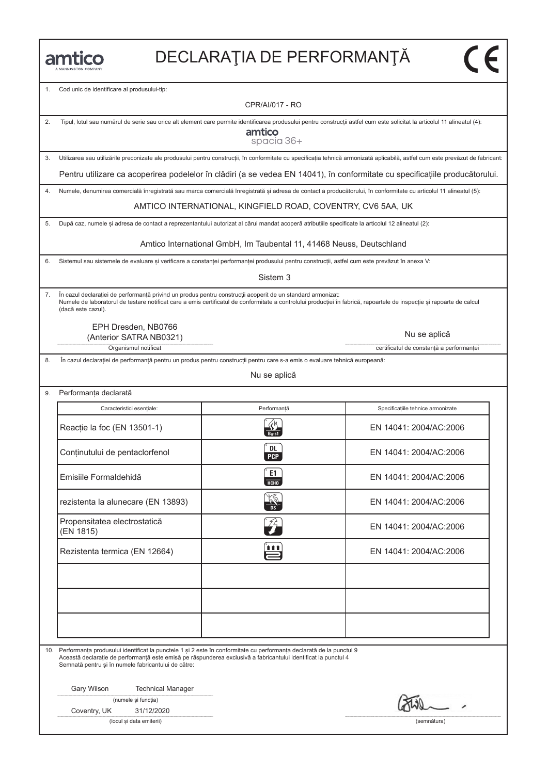1. Cod unic de identificare al produsului-tip:

CPR/AI/017 - RO

| 2. | Tipul, lotul sau numărul de serie sau orice alt element care permite identificarea produsului pentru construcții astfel cum este solicitat la articolul 11 alineatul (4):<br>amtico<br>spacia 36+                                                                                                           |                                                                                                                            |                                                                                                                              |  |
|----|-------------------------------------------------------------------------------------------------------------------------------------------------------------------------------------------------------------------------------------------------------------------------------------------------------------|----------------------------------------------------------------------------------------------------------------------------|------------------------------------------------------------------------------------------------------------------------------|--|
| 3. | Utilizarea sau utilizările preconizate ale produsului pentru construcții, în conformitate cu specificația tehnică armonizată aplicabilă, astfel cum este prevăzut de fabricant:                                                                                                                             |                                                                                                                            |                                                                                                                              |  |
|    |                                                                                                                                                                                                                                                                                                             |                                                                                                                            | Pentru utilizare ca acoperirea podelelor în clădiri (a se vedea EN 14041), în conformitate cu specificațiile producătorului. |  |
| 4. | Numele, denumirea comercială înregistrată sau marca comercială înregistrată și adresa de contact a producătorului, în conformitate cu articolul 11 alineatul (5):                                                                                                                                           |                                                                                                                            |                                                                                                                              |  |
|    |                                                                                                                                                                                                                                                                                                             | AMTICO INTERNATIONAL, KINGFIELD ROAD, COVENTRY, CV6 5AA, UK                                                                |                                                                                                                              |  |
| 5. | După caz, numele și adresa de contact a reprezentantului autorizat al cărui mandat acoperă atribuțiile specificate la articolul 12 alineatul (2):                                                                                                                                                           |                                                                                                                            |                                                                                                                              |  |
|    |                                                                                                                                                                                                                                                                                                             | Amtico International GmbH, Im Taubental 11, 41468 Neuss, Deutschland                                                       |                                                                                                                              |  |
| 6. | Sistemul sau sistemele de evaluare și verificare a constanței performanței produsului pentru construcții, astfel cum este prevăzut în anexa V:                                                                                                                                                              |                                                                                                                            |                                                                                                                              |  |
|    |                                                                                                                                                                                                                                                                                                             | Sistem 3                                                                                                                   |                                                                                                                              |  |
| 7. | În cazul declarației de performanță privind un produs pentru construcții acoperit de un standard armonizat:<br>Numele de laboratorul de testare notificat care a emis certificatul de conformitate a controlului producției în fabrică, rapoartele de inspecție și rapoarte de calcul<br>(dacă este cazul). |                                                                                                                            |                                                                                                                              |  |
|    | EPH Dresden, NB0766<br>(Anterior SATRA NB0321)                                                                                                                                                                                                                                                              |                                                                                                                            | Nu se aplică                                                                                                                 |  |
|    | Organismul notificat                                                                                                                                                                                                                                                                                        |                                                                                                                            | certificatul de constanță a performanței                                                                                     |  |
| 8. |                                                                                                                                                                                                                                                                                                             | În cazul declarației de performanță pentru un produs pentru construcții pentru care s-a emis o evaluare tehnică europeană: |                                                                                                                              |  |
|    |                                                                                                                                                                                                                                                                                                             | Nu se aplică                                                                                                               |                                                                                                                              |  |
| 9. | Performanța declarată                                                                                                                                                                                                                                                                                       |                                                                                                                            |                                                                                                                              |  |
|    | Caracteristici esențiale:                                                                                                                                                                                                                                                                                   | Performanță                                                                                                                | Specificațiile tehnice armonizate                                                                                            |  |
|    | Reacție la foc (EN 13501-1)                                                                                                                                                                                                                                                                                 | $B_{fl}$ -s1                                                                                                               | EN 14041: 2004/AC:2006                                                                                                       |  |
|    | Conținutului de pentaclorfenol                                                                                                                                                                                                                                                                              | DL<br><b>PCP</b>                                                                                                           | EN 14041: 2004/AC:2006                                                                                                       |  |
|    | Emisiile Formaldehidă                                                                                                                                                                                                                                                                                       | E1<br><b>HCHO</b>                                                                                                          | EN 14041: 2004/AC:2006                                                                                                       |  |
|    | rezistenta la alunecare (EN 13893)                                                                                                                                                                                                                                                                          |                                                                                                                            | EN 14041: 2004/AC:2006                                                                                                       |  |
|    | Propensitatea electrostatică<br>(EN 1815)                                                                                                                                                                                                                                                                   | $\widehat{\gamma}$                                                                                                         | EN 14041: 2004/AC:2006                                                                                                       |  |
|    | Rezistenta termica (EN 12664)                                                                                                                                                                                                                                                                               | <b>111</b>                                                                                                                 | EN 14041: 2004/AC:2006                                                                                                       |  |
|    |                                                                                                                                                                                                                                                                                                             |                                                                                                                            |                                                                                                                              |  |
|    |                                                                                                                                                                                                                                                                                                             |                                                                                                                            |                                                                                                                              |  |
|    |                                                                                                                                                                                                                                                                                                             |                                                                                                                            |                                                                                                                              |  |
|    | 10. Performanța produsului identificat la punctele 1 și 2 este în conformitate cu performanța declarată de la punctul 9<br>Această declarație de performanță este emisă pe răspunderea exclusivă a fabricantului identificat la punctul 4<br>Semnată pentru și în numele fabricantului de către:            |                                                                                                                            |                                                                                                                              |  |
|    | Gary Wilson<br><b>Technical Manager</b>                                                                                                                                                                                                                                                                     |                                                                                                                            |                                                                                                                              |  |
|    | (numele și funcția)                                                                                                                                                                                                                                                                                         |                                                                                                                            |                                                                                                                              |  |
|    | Coventry, UK<br>31/12/2020<br>(locul și data emiterii)                                                                                                                                                                                                                                                      |                                                                                                                            | (semnătura)                                                                                                                  |  |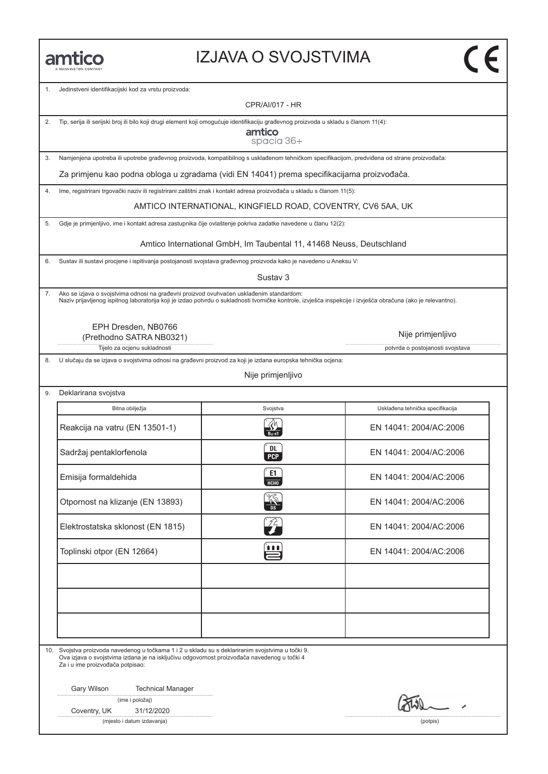#### IZJAVA O SVOJSTVIMA

1. Jedinstveni identifikacijski kod za vrstu proizvoda:

CPR/AI/017 - HR

2. Tip, serija ili serijski broj ili bilo koji drugi element koji omogućuje identifikaciju građevnog proizvoda u skladu s članom 11(4):

amtico spacia 36+

3. Namjenjena upotreba ili upotrebe građevnog proizvoda, kompatibilnog s usklađenom tehničkom specifikacijom, predviđena od strane proizvođača:

Za primjenu kao podna obloga u zgradama (vidi EN 14041) prema specifikacijama proizvođača.

4. Ime, registrirani trgovački naziv ili registrirani zaštitni znak i kontakt adresa proizvođača u skladu s članom 11(5):

AMTICO INTERNATIONAL, KINGFIELD ROAD, COVENTRY, CV6 5AA, UK

5. Gdje je primjenljivo, ime i kontakt adresa zastupnika čije ovlaštenje pokriva zadatke navedene u članu 12(2):

Amtico International GmbH, Im Taubental 11, 41468 Neuss, Deutschland

6. Sustav ili sustavi procjene i ispitivanja postojanosti svojstava građevnog proizvoda kako je navedeno u Aneksu V:

Sustav 3

7. Ako se izjava o svojstvima odnosi na građevni proizvod ovuhvaćen usklađenim standardom: Naziv prijavljenog ispitnog laboratorija koji je izdao potvrdu o sukladnosti tvorničke kontrole, izvješća inspekcije i izvješća obračuna (ako je relevantno).

EPH Dresden, NB0766 (Prethodno SATRA NB0321)

Nije primjenljivo

Tijelo za ocjenu sukladnosti **potvrda o postojanosti svojstava** potvrda o postojanosti svojstava

8. U slučaju da se izjava o svojstvima odnosi na građevni proizvod za koji je izdana europska tehnička ocjena:

Nije primjenljivo

9. Deklarirana svojstva

| Bitna obilježja                   | Svojstva           | Usklađena tehnička specifikacija |
|-----------------------------------|--------------------|----------------------------------|
| Reakcija na vatru (EN 13501-1)    |                    | EN 14041: 2004/AC:2006           |
| Sadržaj pentaklorfenola           | DL.<br><b>PCP</b>  | EN 14041: 2004/AC:2006           |
| Emisija formaldehida              | E1<br>HT           | EN 14041: 2004/AC:2006           |
| Otpornost na klizanje (EN 13893)  |                    | EN 14041: 2004/AC:2006           |
| Elektrostatska sklonost (EN 1815) | $\sqrt[\alpha]{2}$ | EN 14041: 2004/AC:2006           |
| Toplinski otpor (EN 12664)        | Ë                  | EN 14041: 2004/AC:2006           |
|                                   |                    |                                  |
|                                   |                    |                                  |
|                                   |                    |                                  |

10. Svojstva proizvoda navedenog u točkama 1 i 2 u skladu su s deklariranim svojstvima u točki 9. Ova izjava o svojstvima izdana je na isključivu odgovornost proizvođača navedenog u točki 4 Za i u ime proizvođača potpisao:

Gary Wilson Technical Manager

(ime i položaj)

Coventry, UK 31/12/2020

(mjesto i datum izdavanja) (potpis)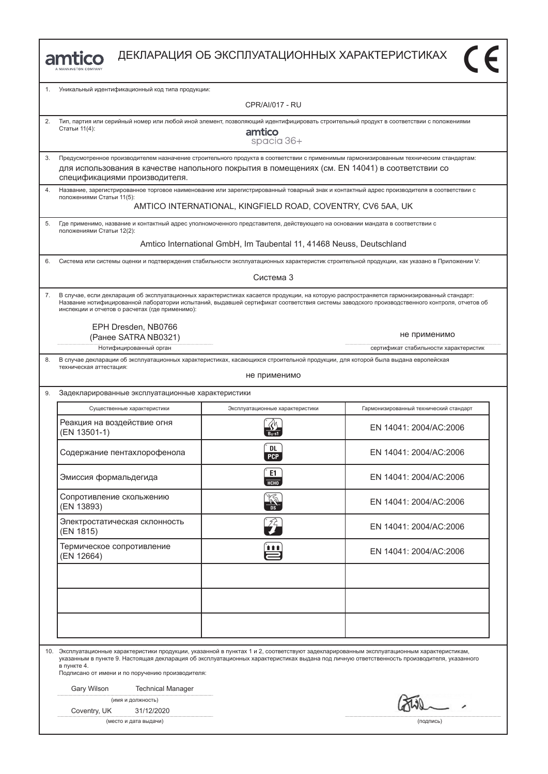

ДЕКЛАРАЦИЯ ОБ ЭКСПЛУАТАЦИОННЫХ ХАРАКТЕРИСТИКАХ

| 1. | Уникальный идентификационный код типа продукции:                                                                                                                                                                                                                                                                                                             |                                                                      |                                        |
|----|--------------------------------------------------------------------------------------------------------------------------------------------------------------------------------------------------------------------------------------------------------------------------------------------------------------------------------------------------------------|----------------------------------------------------------------------|----------------------------------------|
|    | <b>CPR/AI/017 - RU</b>                                                                                                                                                                                                                                                                                                                                       |                                                                      |                                        |
| 2. | Тип, партия или серийный номер или любой иной элемент, позволяющий идентифицировать строительный продукт в соответствии с положениями<br>Статьи 11(4):<br>amtico<br>spacia 36+                                                                                                                                                                               |                                                                      |                                        |
| 3. | Предусмотренное производителем назначение строительного продукта в соответствии с применимым гармонизированным техническим стандартам:                                                                                                                                                                                                                       |                                                                      |                                        |
|    | для использования в качестве напольного покрытия в помещениях (см. EN 14041) в соответствии со<br>спецификациями производителя.                                                                                                                                                                                                                              |                                                                      |                                        |
| 4. | Название, зарегистрированное торговое наименование или зарегистрированный товарный знак и контактный адрес производителя в соответствии с<br>положениями Статьи 11(5):                                                                                                                                                                                       |                                                                      |                                        |
|    |                                                                                                                                                                                                                                                                                                                                                              | AMTICO INTERNATIONAL, KINGFIELD ROAD, COVENTRY, CV6 5AA, UK          |                                        |
| 5. | Где применимо, название и контактный адрес уполномоченного представителя, действующего на основании мандата в соответствии с<br>положениями Статьи 12(2):                                                                                                                                                                                                    |                                                                      |                                        |
|    |                                                                                                                                                                                                                                                                                                                                                              | Amtico International GmbH, Im Taubental 11, 41468 Neuss, Deutschland |                                        |
| 6. | Система или системы оценки и подтверждения стабильности эксплуатационных характеристик строительной продукции, как указано в Приложении V:                                                                                                                                                                                                                   |                                                                      |                                        |
|    |                                                                                                                                                                                                                                                                                                                                                              | Система 3                                                            |                                        |
| 7. | В случае, если декларация об эксплуатационных характеристиках касается продукции, на которую распространяется гармонизированный стандарт:<br>Название нотифицированной лаборатории испытаний, выдавшей сертификат соответствия системы заводского производственного контроля, отчетов об<br>инспекции и отчетов о расчетах (где применимо):                  |                                                                      |                                        |
|    | EPH Dresden, NB0766<br>(Ранее SATRA NB0321)                                                                                                                                                                                                                                                                                                                  |                                                                      | не применимо                           |
|    | Нотифицированный орган                                                                                                                                                                                                                                                                                                                                       |                                                                      | сертификат стабильности характеристик  |
| 8. | В случае декларации об эксплуатационных характеристиках, касающихся строительной продукции, для которой была выдана европейская<br>техническая аттестация:<br>не применимо                                                                                                                                                                                   |                                                                      |                                        |
| 9. | Задекларированные эксплуатационные характеристики                                                                                                                                                                                                                                                                                                            |                                                                      |                                        |
|    | Существенные характеристики                                                                                                                                                                                                                                                                                                                                  | Эксплуатационные характеристики                                      | Гармонизированный технический стандарт |
|    | Реакция на воздействие огня<br>(EN 13501-1)                                                                                                                                                                                                                                                                                                                  |                                                                      | EN 14041: 2004/AC:2006                 |
|    | Содержание пентахлорофенола                                                                                                                                                                                                                                                                                                                                  | DL<br><b>PCP</b>                                                     | EN 14041: 2004/AC:2006                 |
|    | Эмиссия формальдегида                                                                                                                                                                                                                                                                                                                                        | E1<br><b>НСНО</b>                                                    | EN 14041: 2004/AC:2006                 |
|    | Сопротивление скольжению<br>(EN 13893)                                                                                                                                                                                                                                                                                                                       |                                                                      | EN 14041: 2004/AC:2006                 |
|    | Электростатическая склонность<br>(EN 1815)                                                                                                                                                                                                                                                                                                                   | 弅                                                                    | EN 14041: 2004/AC:2006                 |
|    | Термическое сопротивление<br>(EN 12664)                                                                                                                                                                                                                                                                                                                      | în                                                                   | EN 14041: 2004/AC:2006                 |
|    |                                                                                                                                                                                                                                                                                                                                                              |                                                                      |                                        |
|    |                                                                                                                                                                                                                                                                                                                                                              |                                                                      |                                        |
|    |                                                                                                                                                                                                                                                                                                                                                              |                                                                      |                                        |
|    | 10. Эксплуатационные характеристики продукции, указанной в пунктах 1 и 2, соответствуют задекларированным эксплуатационным характеристикам,<br>указанным в пункте 9. Настоящая декларация об эксплуатационных характеристиках выдана под личную ответственность производителя, указанного<br>в пункте 4.<br>Подписано от имени и по поручению производителя: |                                                                      |                                        |
|    | Gary Wilson<br><b>Technical Manager</b>                                                                                                                                                                                                                                                                                                                      |                                                                      |                                        |
|    | (имя и должность)<br>31/12/2020<br>Coventry, UK                                                                                                                                                                                                                                                                                                              |                                                                      | $\overline{\omega}$                    |

(место и дата выдачи) (подпись)